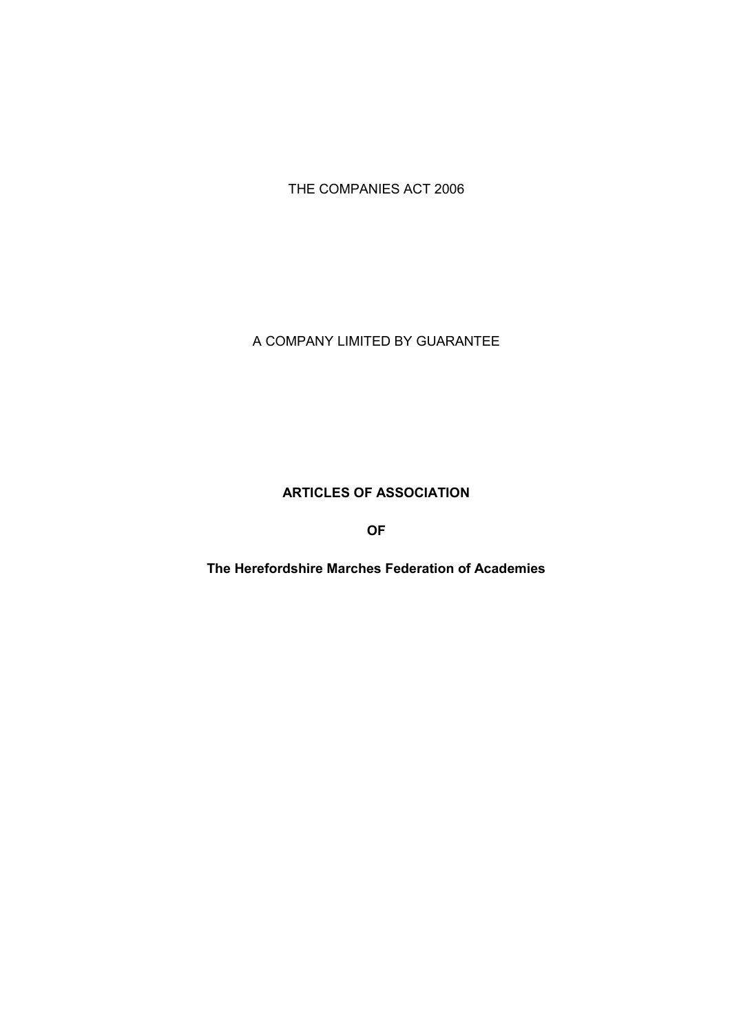THE COMPANIES ACT 2006

A COMPANY LIMITED BY GUARANTEE

# **ARTICLES OF ASSOCIATION**

**OF**

**The Herefordshire Marches Federation of Academies**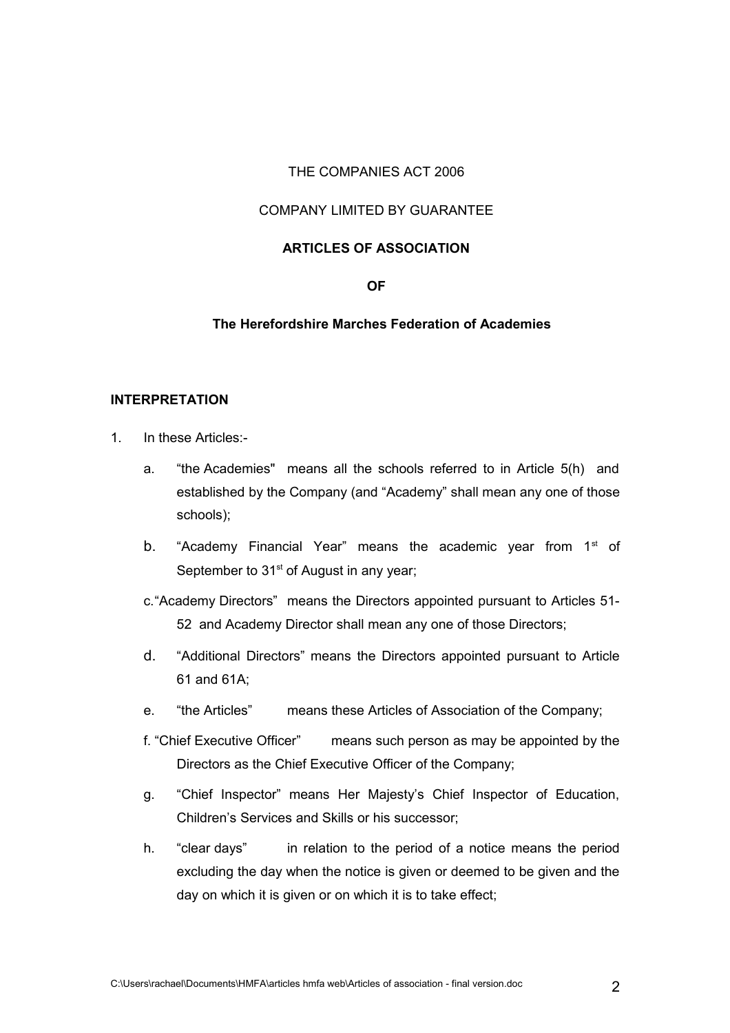#### THE COMPANIES ACT 2006

### COMPANY LIMITED BY GUARANTEE

#### **ARTICLES OF ASSOCIATION**

#### **OF**

#### **The Herefordshire Marches Federation of Academies**

#### **INTERPRETATION**

- 1. In these Articles:
	- a. "the Academies" means all the schools referred to in Article 5(h) and established by the Company (and "Academy" shall mean any one of those schools);
	- b. "Academy Financial Year" means the academic year from  $1<sup>st</sup>$  of September to 31<sup>st</sup> of August in any year;
	- c."Academy Directors" means the Directors appointed pursuant to Articles 51- 52 and Academy Director shall mean any one of those Directors;
	- d. "Additional Directors" means the Directors appointed pursuant to Article 61 and 61A;
	- e. "the Articles" means these Articles of Association of the Company;
	- f. "Chief Executive Officer" means such person as may be appointed by the Directors as the Chief Executive Officer of the Company;
	- g. "Chief Inspector" means Her Majesty's Chief Inspector of Education, Children's Services and Skills or his successor;
	- h. "clear days" in relation to the period of a notice means the period excluding the day when the notice is given or deemed to be given and the day on which it is given or on which it is to take effect;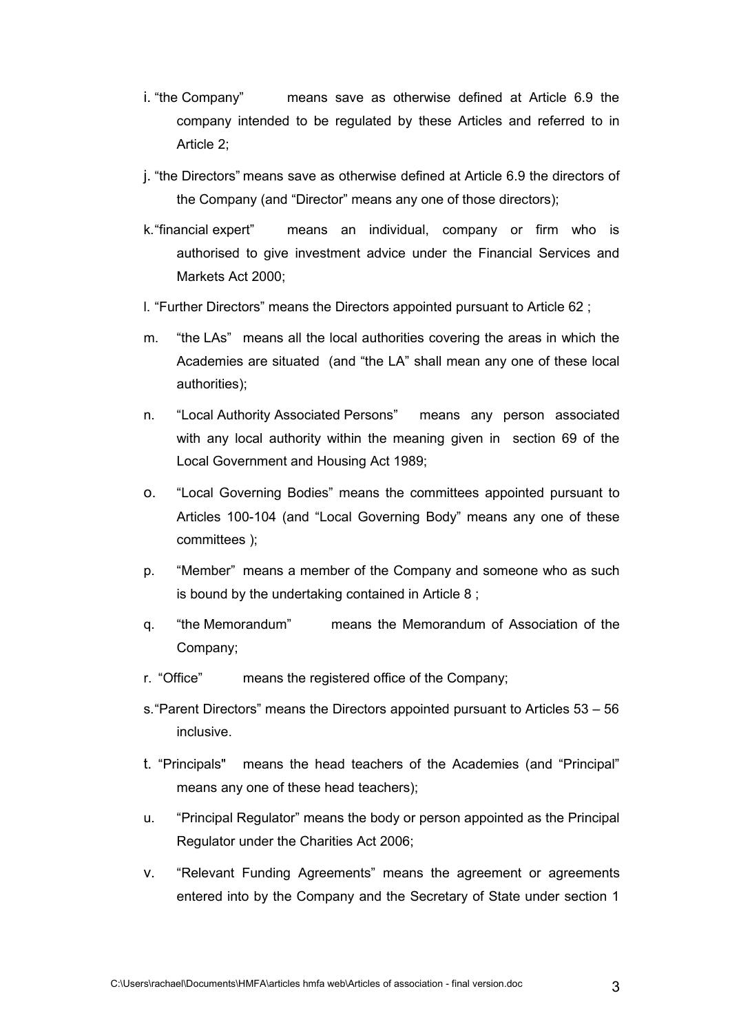- i. "the Company" means save as otherwise defined at Article 6.9 the company intended to be regulated by these Articles and referred to in Article 2;
- j. "the Directors" means save as otherwise defined at Article 6.9 the directors of the Company (and "Director" means any one of those directors);
- k."financial expert" means an individual, company or firm who is authorised to give investment advice under the Financial Services and Markets Act 2000;
- l. "Further Directors" means the Directors appointed pursuant to Article 62 ;
- m. "the LAs" means all the local authorities covering the areas in which the Academies are situated (and "the LA" shall mean any one of these local authorities);
- n. "Local Authority Associated Persons" means any person associated with any local authority within the meaning given in section 69 of the Local Government and Housing Act 1989;
- o. "Local Governing Bodies" means the committees appointed pursuant to Articles 100-104 (and "Local Governing Body" means any one of these committees );
- p. "Member" means a member of the Company and someone who as such is bound by the undertaking contained in Article 8 ;
- q. "the Memorandum" means the Memorandum of Association of the Company;
- r. "Office" means the registered office of the Company;
- s."Parent Directors" means the Directors appointed pursuant to Articles 53 56 inclusive.
- t. "Principals" means the head teachers of the Academies (and "Principal" means any one of these head teachers);
- u. "Principal Regulator" means the body or person appointed as the Principal Regulator under the Charities Act 2006;
- v. "Relevant Funding Agreements" means the agreement or agreements entered into by the Company and the Secretary of State under section 1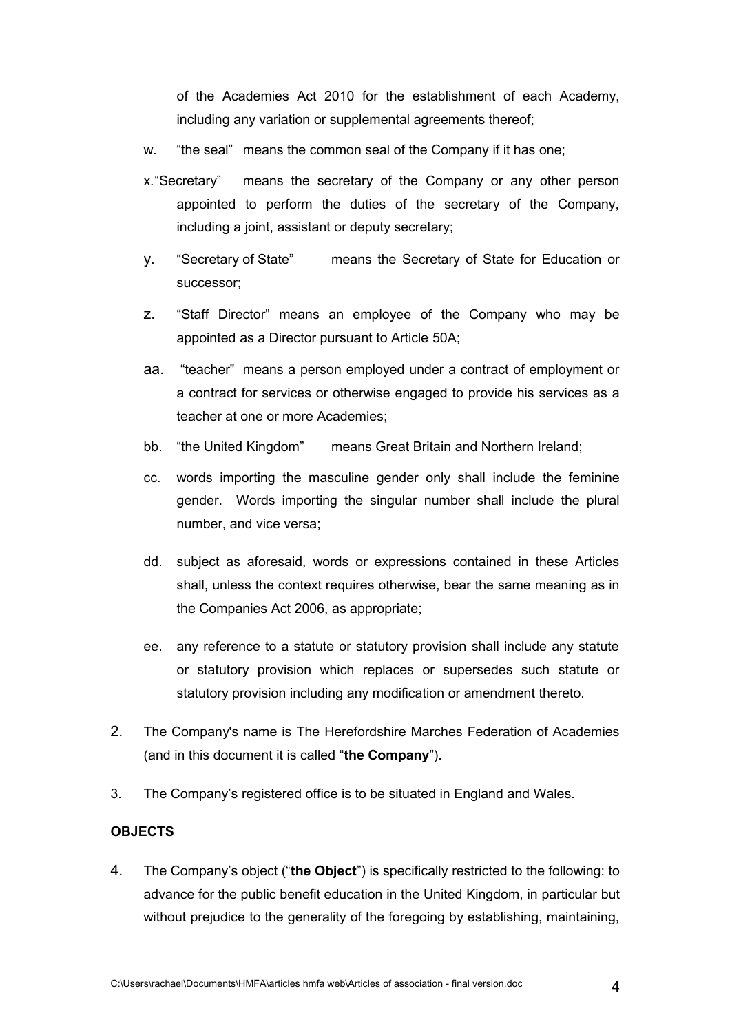of the Academies Act 2010 for the establishment of each Academy, including any variation or supplemental agreements thereof;

- w. "the seal" means the common seal of the Company if it has one;
- x."Secretary" means the secretary of the Company or any other person appointed to perform the duties of the secretary of the Company, including a joint, assistant or deputy secretary;
- y. "Secretary of State" means the Secretary of State for Education or successor;
- z. "Staff Director" means an employee of the Company who may be appointed as a Director pursuant to Article 50A;
- aa. "teacher" means a person employed under a contract of employment or a contract for services or otherwise engaged to provide his services as a teacher at one or more Academies;
- bb. "the United Kingdom" means Great Britain and Northern Ireland;
- cc. words importing the masculine gender only shall include the feminine gender. Words importing the singular number shall include the plural number, and vice versa;
- dd. subject as aforesaid, words or expressions contained in these Articles shall, unless the context requires otherwise, bear the same meaning as in the Companies Act 2006, as appropriate;
- ee. any reference to a statute or statutory provision shall include any statute or statutory provision which replaces or supersedes such statute or statutory provision including any modification or amendment thereto.
- 2. The Company's name is The Herefordshire Marches Federation of Academies (and in this document it is called "**the Company**").
- 3. The Company's registered office is to be situated in England and Wales.

## **OBJECTS**

4. The Company's object ("**the Object**") is specifically restricted to the following: to advance for the public benefit education in the United Kingdom, in particular but without prejudice to the generality of the foregoing by establishing, maintaining,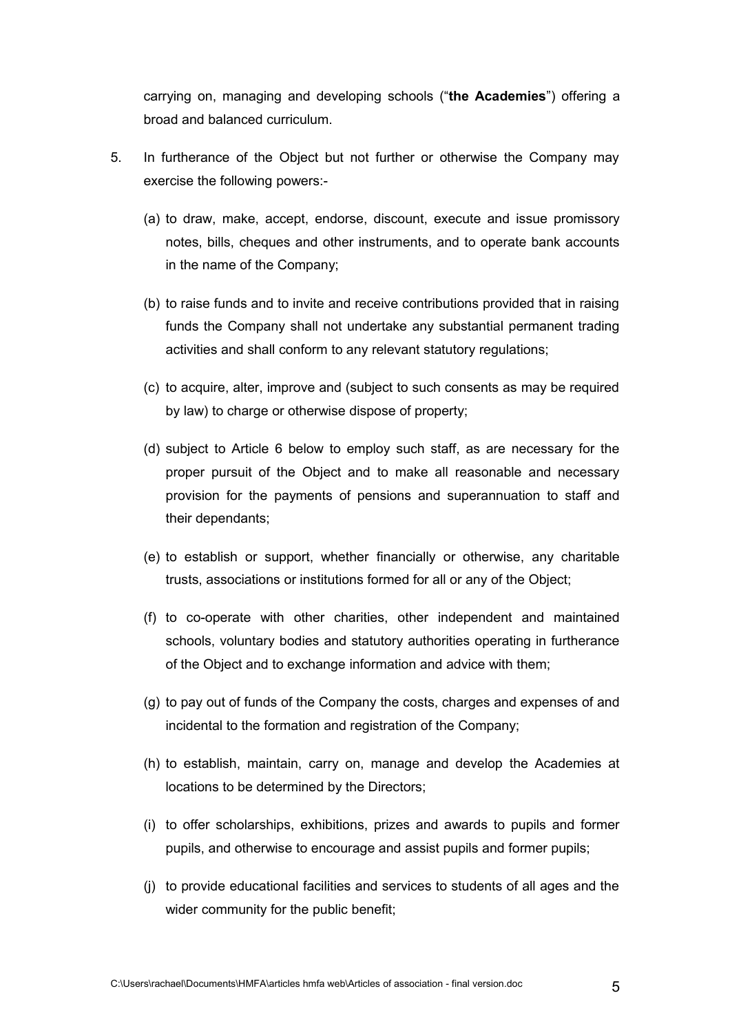carrying on, managing and developing schools ("**the Academies**") offering a broad and balanced curriculum.

- 5. In furtherance of the Object but not further or otherwise the Company may exercise the following powers:-
	- (a) to draw, make, accept, endorse, discount, execute and issue promissory notes, bills, cheques and other instruments, and to operate bank accounts in the name of the Company;
	- (b) to raise funds and to invite and receive contributions provided that in raising funds the Company shall not undertake any substantial permanent trading activities and shall conform to any relevant statutory regulations;
	- (c) to acquire, alter, improve and (subject to such consents as may be required by law) to charge or otherwise dispose of property;
	- (d) subject to Article 6 below to employ such staff, as are necessary for the proper pursuit of the Object and to make all reasonable and necessary provision for the payments of pensions and superannuation to staff and their dependants;
	- (e) to establish or support, whether financially or otherwise, any charitable trusts, associations or institutions formed for all or any of the Object;
	- (f) to co-operate with other charities, other independent and maintained schools, voluntary bodies and statutory authorities operating in furtherance of the Object and to exchange information and advice with them;
	- (g) to pay out of funds of the Company the costs, charges and expenses of and incidental to the formation and registration of the Company;
	- (h) to establish, maintain, carry on, manage and develop the Academies at locations to be determined by the Directors;
	- (i) to offer scholarships, exhibitions, prizes and awards to pupils and former pupils, and otherwise to encourage and assist pupils and former pupils;
	- (j) to provide educational facilities and services to students of all ages and the wider community for the public benefit;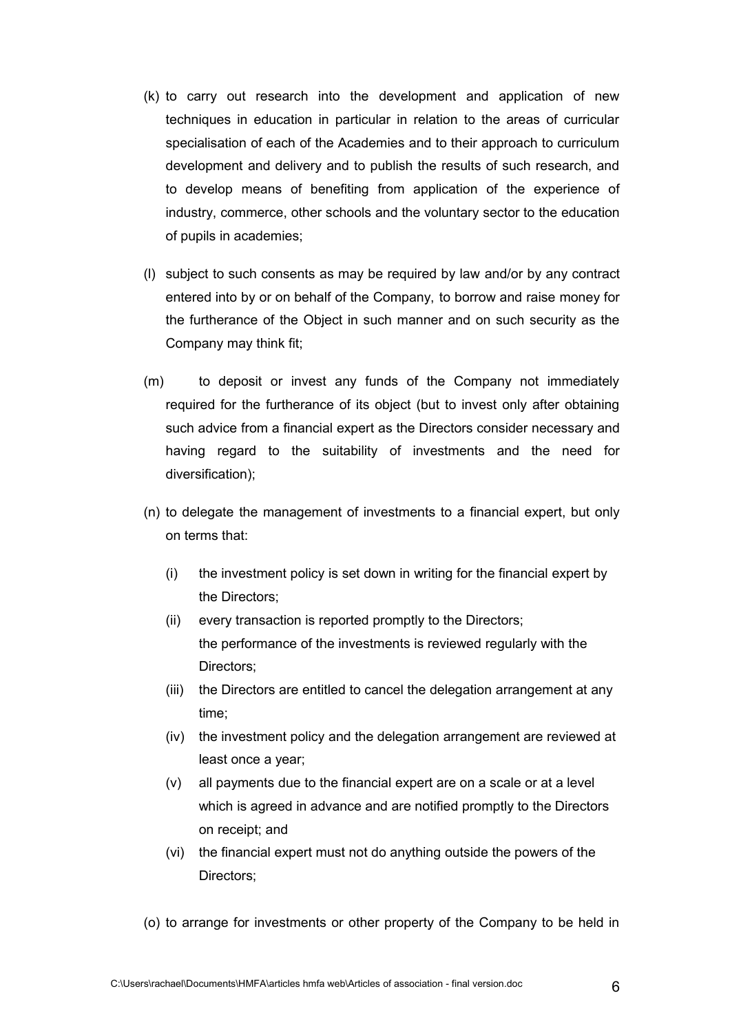- (k) to carry out research into the development and application of new techniques in education in particular in relation to the areas of curricular specialisation of each of the Academies and to their approach to curriculum development and delivery and to publish the results of such research, and to develop means of benefiting from application of the experience of industry, commerce, other schools and the voluntary sector to the education of pupils in academies;
- (l) subject to such consents as may be required by law and/or by any contract entered into by or on behalf of the Company, to borrow and raise money for the furtherance of the Object in such manner and on such security as the Company may think fit;
- (m) to deposit or invest any funds of the Company not immediately required for the furtherance of its object (but to invest only after obtaining such advice from a financial expert as the Directors consider necessary and having regard to the suitability of investments and the need for diversification);
- (n) to delegate the management of investments to a financial expert, but only on terms that:
	- (i) the investment policy is set down in writing for the financial expert by the Directors;
	- (ii) every transaction is reported promptly to the Directors; the performance of the investments is reviewed regularly with the Directors;
	- (iii) the Directors are entitled to cancel the delegation arrangement at any time;
	- (iv) the investment policy and the delegation arrangement are reviewed at least once a year;
	- (v) all payments due to the financial expert are on a scale or at a level which is agreed in advance and are notified promptly to the Directors on receipt; and
	- (vi) the financial expert must not do anything outside the powers of the Directors;
- (o) to arrange for investments or other property of the Company to be held in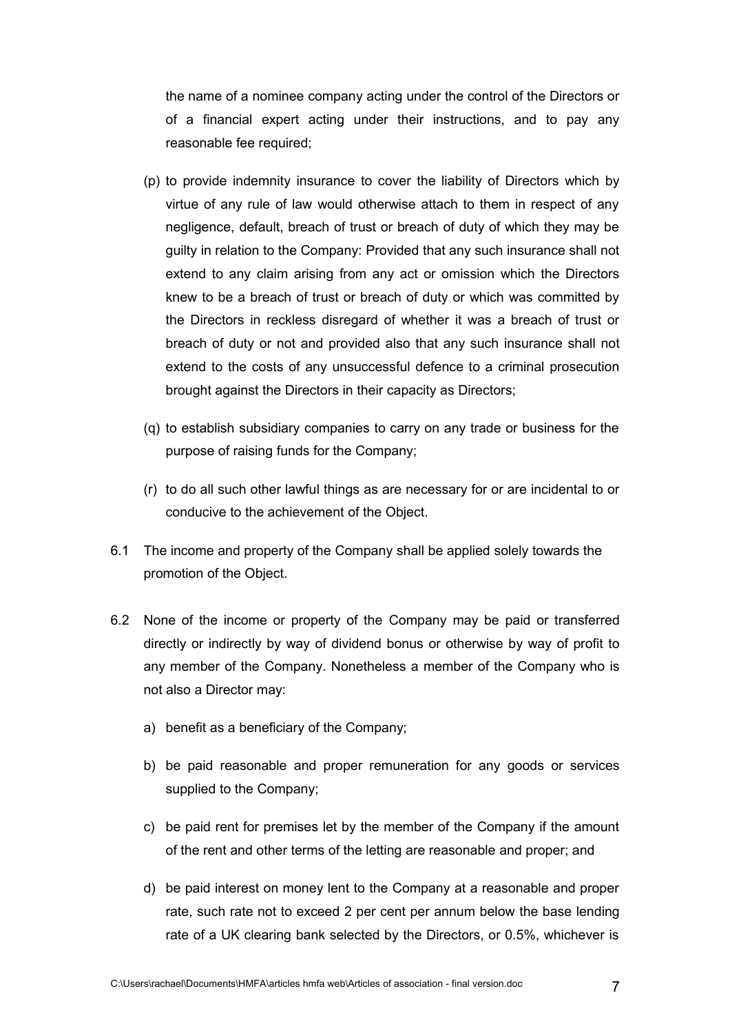the name of a nominee company acting under the control of the Directors or of a financial expert acting under their instructions, and to pay any reasonable fee required:

- (p) to provide indemnity insurance to cover the liability of Directors which by virtue of any rule of law would otherwise attach to them in respect of any negligence, default, breach of trust or breach of duty of which they may be guilty in relation to the Company: Provided that any such insurance shall not extend to any claim arising from any act or omission which the Directors knew to be a breach of trust or breach of duty or which was committed by the Directors in reckless disregard of whether it was a breach of trust or breach of duty or not and provided also that any such insurance shall not extend to the costs of any unsuccessful defence to a criminal prosecution brought against the Directors in their capacity as Directors;
- (q) to establish subsidiary companies to carry on any trade or business for the purpose of raising funds for the Company;
- (r) to do all such other lawful things as are necessary for or are incidental to or conducive to the achievement of the Object.
- 6.1 The income and property of the Company shall be applied solely towards the promotion of the Object.
- 6.2 None of the income or property of the Company may be paid or transferred directly or indirectly by way of dividend bonus or otherwise by way of profit to any member of the Company. Nonetheless a member of the Company who is not also a Director may:
	- a) benefit as a beneficiary of the Company;
	- b) be paid reasonable and proper remuneration for any goods or services supplied to the Company;
	- c) be paid rent for premises let by the member of the Company if the amount of the rent and other terms of the letting are reasonable and proper; and
	- d) be paid interest on money lent to the Company at a reasonable and proper rate, such rate not to exceed 2 per cent per annum below the base lending rate of a UK clearing bank selected by the Directors, or 0.5%, whichever is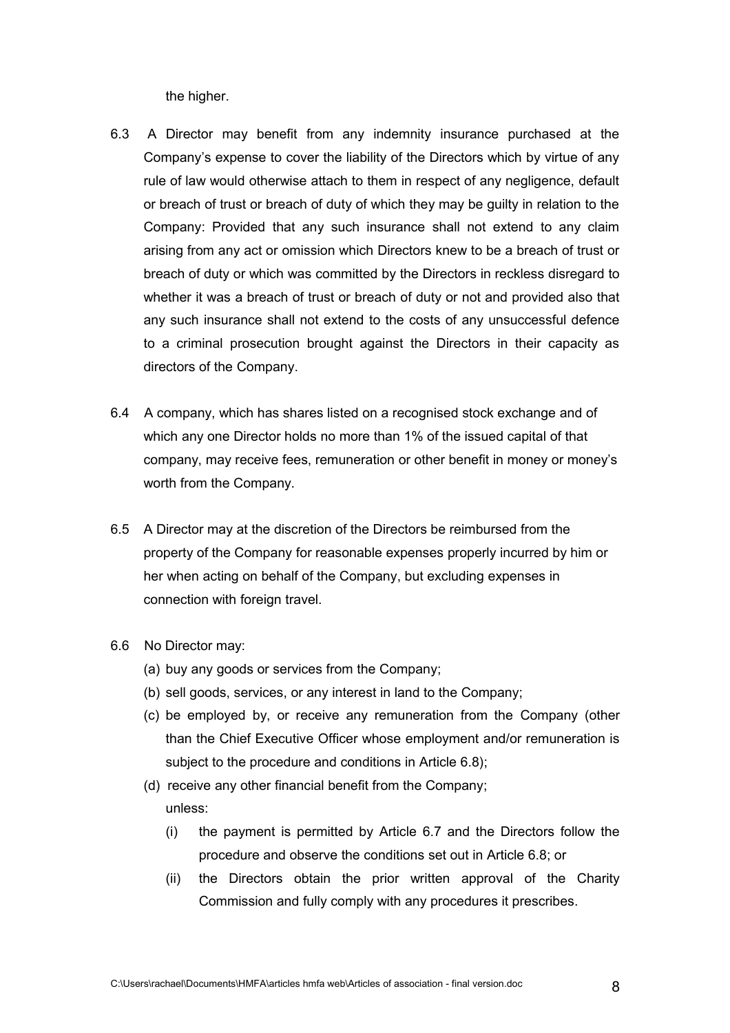the higher.

- 6.3 A Director may benefit from any indemnity insurance purchased at the Company's expense to cover the liability of the Directors which by virtue of any rule of law would otherwise attach to them in respect of any negligence, default or breach of trust or breach of duty of which they may be guilty in relation to the Company: Provided that any such insurance shall not extend to any claim arising from any act or omission which Directors knew to be a breach of trust or breach of duty or which was committed by the Directors in reckless disregard to whether it was a breach of trust or breach of duty or not and provided also that any such insurance shall not extend to the costs of any unsuccessful defence to a criminal prosecution brought against the Directors in their capacity as directors of the Company.
- 6.4 A company, which has shares listed on a recognised stock exchange and of which any one Director holds no more than 1% of the issued capital of that company, may receive fees, remuneration or other benefit in money or money's worth from the Company.
- 6.5 A Director may at the discretion of the Directors be reimbursed from the property of the Company for reasonable expenses properly incurred by him or her when acting on behalf of the Company, but excluding expenses in connection with foreign travel.
- 6.6 No Director may:
	- (a) buy any goods or services from the Company;
	- (b) sell goods, services, or any interest in land to the Company;
	- (c) be employed by, or receive any remuneration from the Company (other than the Chief Executive Officer whose employment and/or remuneration is subject to the procedure and conditions in Article 6.8);
	- (d) receive any other financial benefit from the Company; unless:
		- (i) the payment is permitted by Article 6.7 and the Directors follow the procedure and observe the conditions set out in Article 6.8; or
		- (ii) the Directors obtain the prior written approval of the Charity Commission and fully comply with any procedures it prescribes.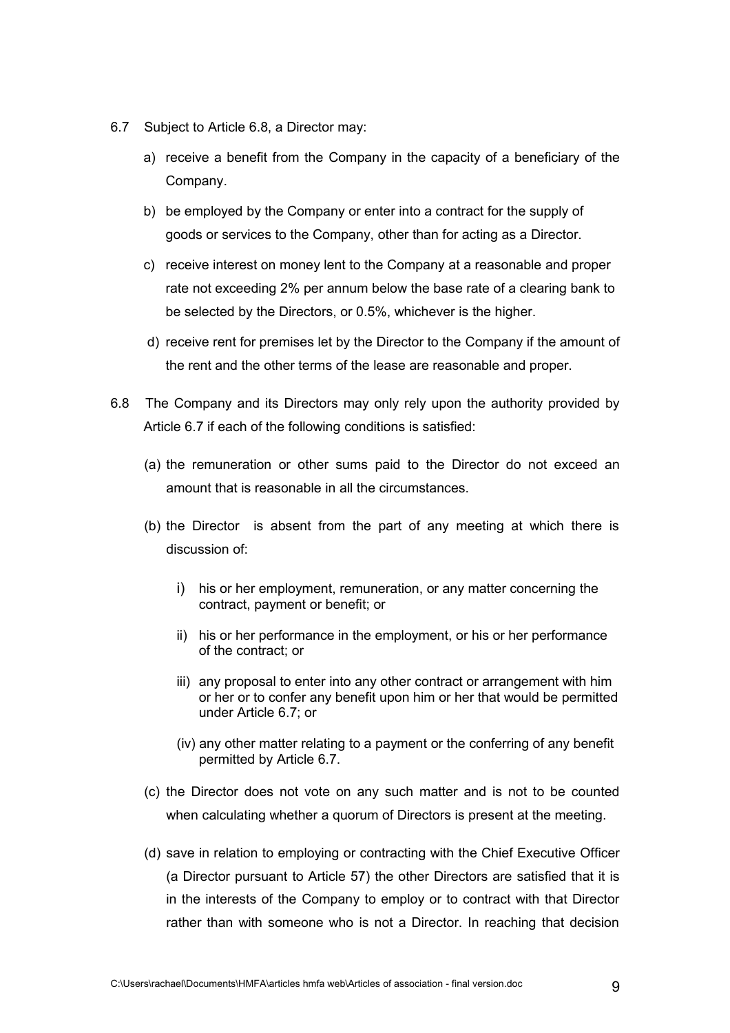- 6.7 Subject to Article 6.8, a Director may:
	- a) receive a benefit from the Company in the capacity of a beneficiary of the Company.
	- b) be employed by the Company or enter into a contract for the supply of goods or services to the Company, other than for acting as a Director.
	- c) receive interest on money lent to the Company at a reasonable and proper rate not exceeding 2% per annum below the base rate of a clearing bank to be selected by the Directors, or 0.5%, whichever is the higher.
	- d) receive rent for premises let by the Director to the Company if the amount of the rent and the other terms of the lease are reasonable and proper.
- 6.8 The Company and its Directors may only rely upon the authority provided by Article 6.7 if each of the following conditions is satisfied:
	- (a) the remuneration or other sums paid to the Director do not exceed an amount that is reasonable in all the circumstances.
	- (b) the Director is absent from the part of any meeting at which there is discussion of:
		- i) his or her employment, remuneration, or any matter concerning the contract, payment or benefit; or
		- ii) his or her performance in the employment, or his or her performance of the contract; or
		- iii) any proposal to enter into any other contract or arrangement with him or her or to confer any benefit upon him or her that would be permitted under Article 6.7; or
		- (iv) any other matter relating to a payment or the conferring of any benefit permitted by Article 6.7.
	- (c) the Director does not vote on any such matter and is not to be counted when calculating whether a quorum of Directors is present at the meeting.
	- (d) save in relation to employing or contracting with the Chief Executive Officer (a Director pursuant to Article 57) the other Directors are satisfied that it is in the interests of the Company to employ or to contract with that Director rather than with someone who is not a Director. In reaching that decision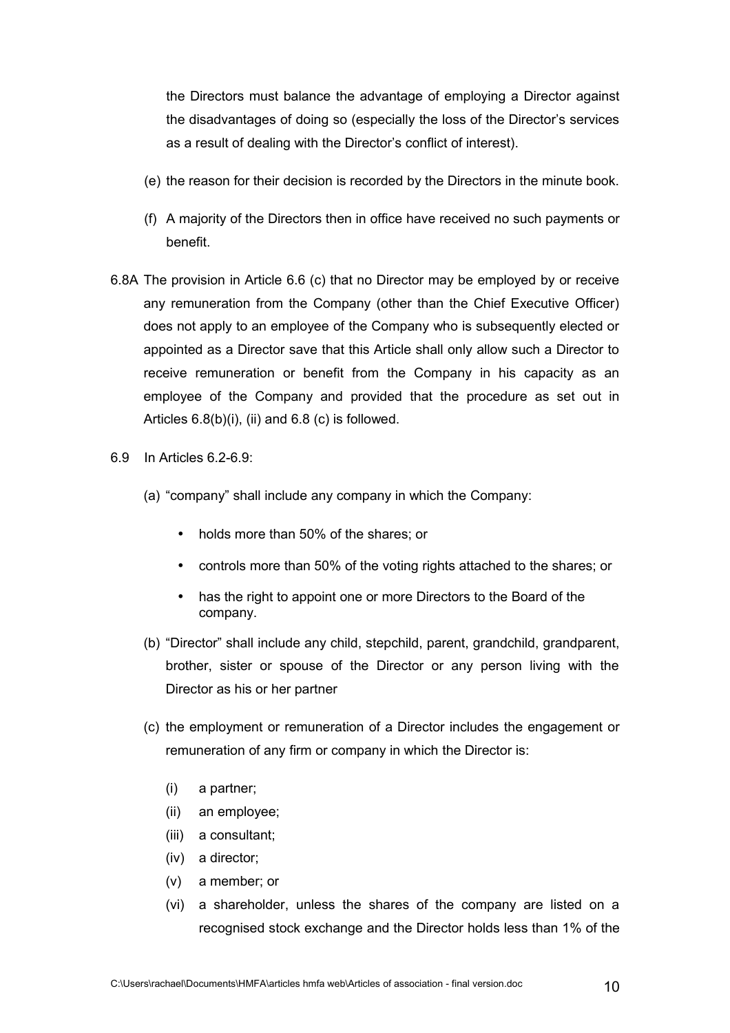the Directors must balance the advantage of employing a Director against the disadvantages of doing so (especially the loss of the Director's services as a result of dealing with the Director's conflict of interest).

- (e) the reason for their decision is recorded by the Directors in the minute book.
- (f) A majority of the Directors then in office have received no such payments or benefit.
- 6.8A The provision in Article 6.6 (c) that no Director may be employed by or receive any remuneration from the Company (other than the Chief Executive Officer) does not apply to an employee of the Company who is subsequently elected or appointed as a Director save that this Article shall only allow such a Director to receive remuneration or benefit from the Company in his capacity as an employee of the Company and provided that the procedure as set out in Articles  $6.8(b)(i)$ , (ii) and  $6.8(c)$  is followed.
- 6.9 In Articles 6.2-6.9:
	- (a) "company" shall include any company in which the Company:
		- holds more than 50% of the shares: or
		- controls more than 50% of the voting rights attached to the shares; or
		- has the right to appoint one or more Directors to the Board of the company.
	- (b) "Director" shall include any child, stepchild, parent, grandchild, grandparent, brother, sister or spouse of the Director or any person living with the Director as his or her partner
	- (c) the employment or remuneration of a Director includes the engagement or remuneration of any firm or company in which the Director is:
		- (i) a partner;
		- (ii) an employee;
		- (iii) a consultant;
		- (iv) a director;
		- (v) a member; or
		- (vi) a shareholder, unless the shares of the company are listed on a recognised stock exchange and the Director holds less than 1% of the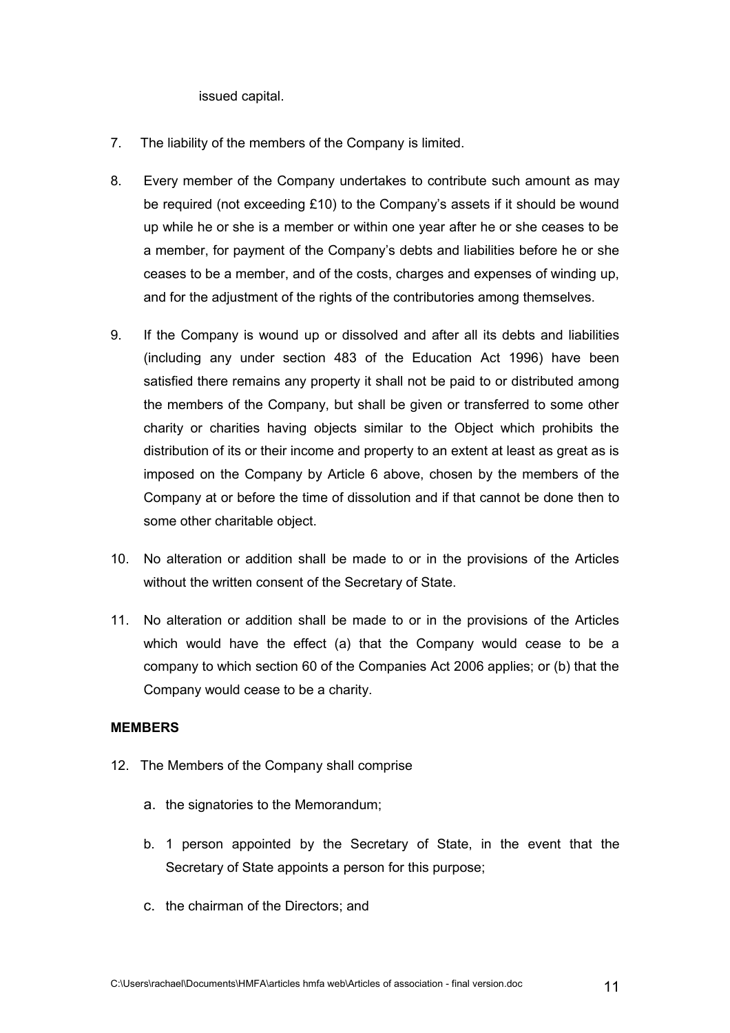issued capital.

- 7. The liability of the members of the Company is limited.
- 8. Every member of the Company undertakes to contribute such amount as may be required (not exceeding £10) to the Company's assets if it should be wound up while he or she is a member or within one year after he or she ceases to be a member, for payment of the Company's debts and liabilities before he or she ceases to be a member, and of the costs, charges and expenses of winding up, and for the adjustment of the rights of the contributories among themselves.
- 9. If the Company is wound up or dissolved and after all its debts and liabilities (including any under section 483 of the Education Act 1996) have been satisfied there remains any property it shall not be paid to or distributed among the members of the Company, but shall be given or transferred to some other charity or charities having objects similar to the Object which prohibits the distribution of its or their income and property to an extent at least as great as is imposed on the Company by Article 6 above, chosen by the members of the Company at or before the time of dissolution and if that cannot be done then to some other charitable object.
- 10. No alteration or addition shall be made to or in the provisions of the Articles without the written consent of the Secretary of State.
- 11. No alteration or addition shall be made to or in the provisions of the Articles which would have the effect (a) that the Company would cease to be a company to which section 60 of the Companies Act 2006 applies; or (b) that the Company would cease to be a charity.

### **MEMBERS**

- 12. The Members of the Company shall comprise
	- a. the signatories to the Memorandum;
	- b. 1 person appointed by the Secretary of State, in the event that the Secretary of State appoints a person for this purpose;
	- c. the chairman of the Directors; and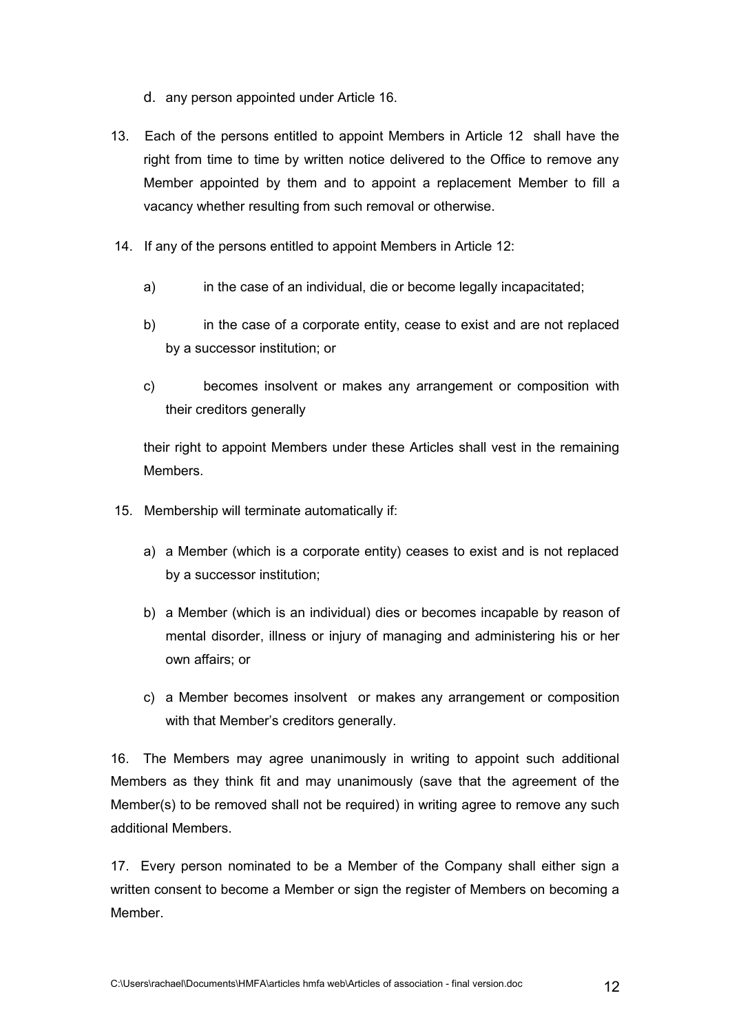- d. any person appointed under Article 16.
- 13. Each of the persons entitled to appoint Members in Article 12 shall have the right from time to time by written notice delivered to the Office to remove any Member appointed by them and to appoint a replacement Member to fill a vacancy whether resulting from such removal or otherwise.
- 14. If any of the persons entitled to appoint Members in Article 12:
	- a) in the case of an individual, die or become legally incapacitated;
	- b) in the case of a corporate entity, cease to exist and are not replaced by a successor institution; or
	- c) becomes insolvent or makes any arrangement or composition with their creditors generally

their right to appoint Members under these Articles shall vest in the remaining Members.

- 15. Membership will terminate automatically if:
	- a) a Member (which is a corporate entity) ceases to exist and is not replaced by a successor institution;
	- b) a Member (which is an individual) dies or becomes incapable by reason of mental disorder, illness or injury of managing and administering his or her own affairs; or
	- c) a Member becomes insolvent or makes any arrangement or composition with that Member's creditors generally.

16. The Members may agree unanimously in writing to appoint such additional Members as they think fit and may unanimously (save that the agreement of the Member(s) to be removed shall not be required) in writing agree to remove any such additional Members.

17. Every person nominated to be a Member of the Company shall either sign a written consent to become a Member or sign the register of Members on becoming a Member.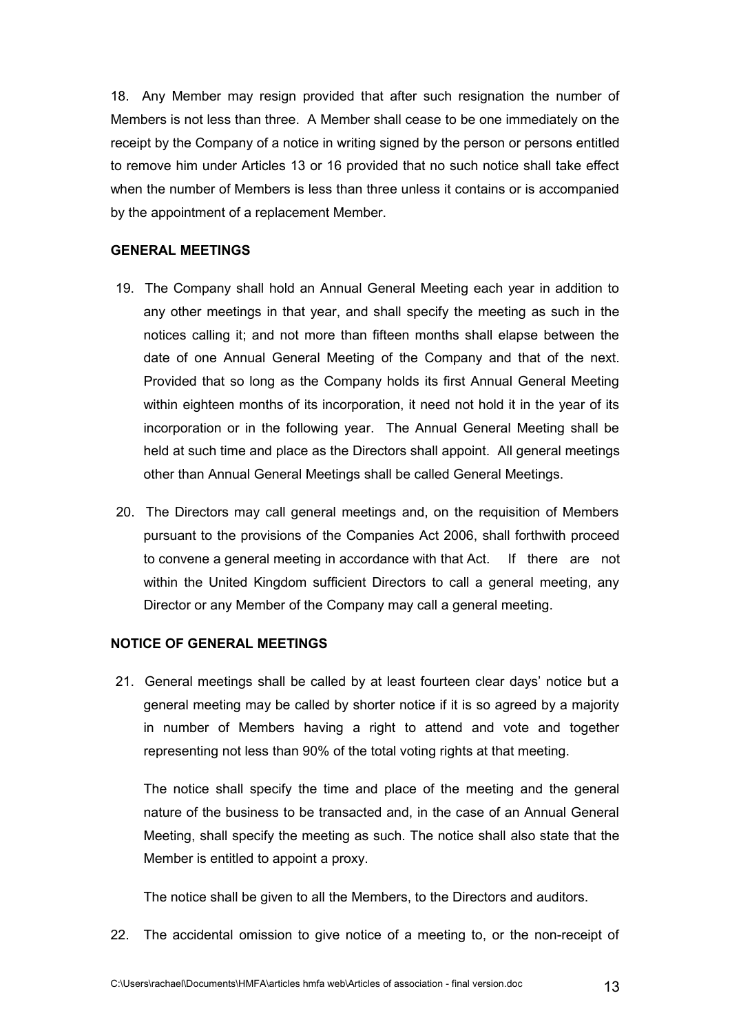18. Any Member may resign provided that after such resignation the number of Members is not less than three. A Member shall cease to be one immediately on the receipt by the Company of a notice in writing signed by the person or persons entitled to remove him under Articles 13 or 16 provided that no such notice shall take effect when the number of Members is less than three unless it contains or is accompanied by the appointment of a replacement Member.

#### **GENERAL MEETINGS**

- 19. The Company shall hold an Annual General Meeting each year in addition to any other meetings in that year, and shall specify the meeting as such in the notices calling it; and not more than fifteen months shall elapse between the date of one Annual General Meeting of the Company and that of the next. Provided that so long as the Company holds its first Annual General Meeting within eighteen months of its incorporation, it need not hold it in the year of its incorporation or in the following year. The Annual General Meeting shall be held at such time and place as the Directors shall appoint. All general meetings other than Annual General Meetings shall be called General Meetings.
- 20. The Directors may call general meetings and, on the requisition of Members pursuant to the provisions of the Companies Act 2006, shall forthwith proceed to convene a general meeting in accordance with that Act. If there are not within the United Kingdom sufficient Directors to call a general meeting, any Director or any Member of the Company may call a general meeting.

### **NOTICE OF GENERAL MEETINGS**

 21. General meetings shall be called by at least fourteen clear days' notice but a general meeting may be called by shorter notice if it is so agreed by a majority in number of Members having a right to attend and vote and together representing not less than 90% of the total voting rights at that meeting.

The notice shall specify the time and place of the meeting and the general nature of the business to be transacted and, in the case of an Annual General Meeting, shall specify the meeting as such. The notice shall also state that the Member is entitled to appoint a proxy.

The notice shall be given to all the Members, to the Directors and auditors.

22. The accidental omission to give notice of a meeting to, or the non-receipt of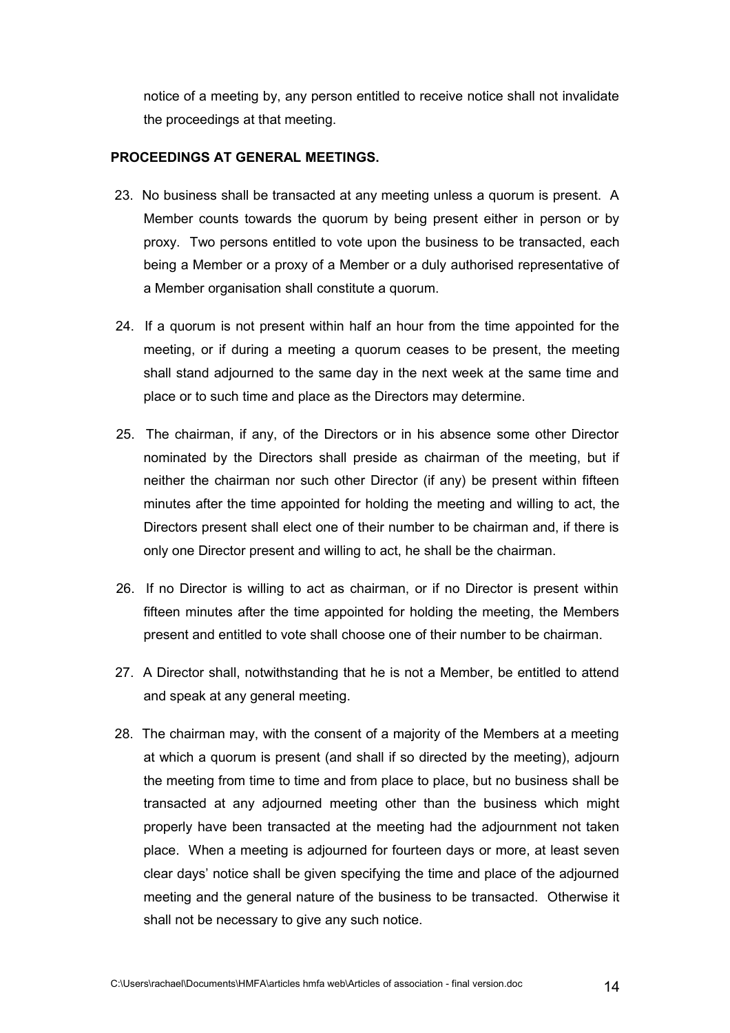notice of a meeting by, any person entitled to receive notice shall not invalidate the proceedings at that meeting.

#### **PROCEEDINGS AT GENERAL MEETINGS.**

- 23. No business shall be transacted at any meeting unless a quorum is present. A Member counts towards the quorum by being present either in person or by proxy. Two persons entitled to vote upon the business to be transacted, each being a Member or a proxy of a Member or a duly authorised representative of a Member organisation shall constitute a quorum.
- 24. If a quorum is not present within half an hour from the time appointed for the meeting, or if during a meeting a quorum ceases to be present, the meeting shall stand adjourned to the same day in the next week at the same time and place or to such time and place as the Directors may determine.
- 25. The chairman, if any, of the Directors or in his absence some other Director nominated by the Directors shall preside as chairman of the meeting, but if neither the chairman nor such other Director (if any) be present within fifteen minutes after the time appointed for holding the meeting and willing to act, the Directors present shall elect one of their number to be chairman and, if there is only one Director present and willing to act, he shall be the chairman.
- 26. If no Director is willing to act as chairman, or if no Director is present within fifteen minutes after the time appointed for holding the meeting, the Members present and entitled to vote shall choose one of their number to be chairman.
- 27. A Director shall, notwithstanding that he is not a Member, be entitled to attend and speak at any general meeting.
- 28. The chairman may, with the consent of a majority of the Members at a meeting at which a quorum is present (and shall if so directed by the meeting), adjourn the meeting from time to time and from place to place, but no business shall be transacted at any adjourned meeting other than the business which might properly have been transacted at the meeting had the adjournment not taken place. When a meeting is adjourned for fourteen days or more, at least seven clear days' notice shall be given specifying the time and place of the adjourned meeting and the general nature of the business to be transacted. Otherwise it shall not be necessary to give any such notice.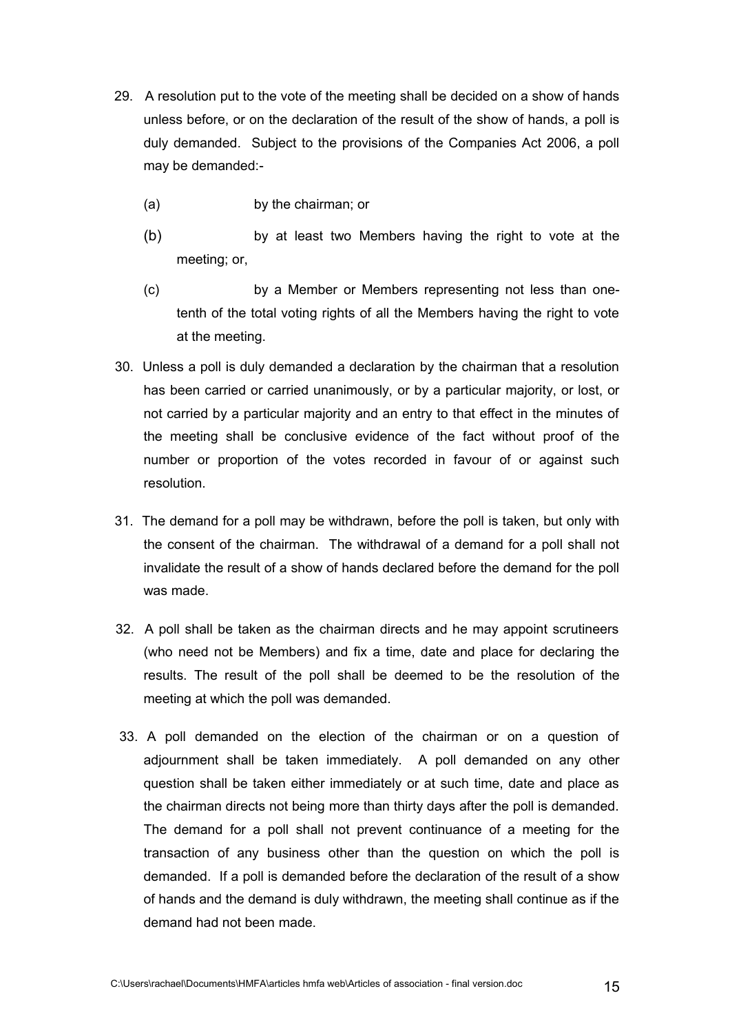- 29. A resolution put to the vote of the meeting shall be decided on a show of hands unless before, or on the declaration of the result of the show of hands, a poll is duly demanded. Subject to the provisions of the Companies Act 2006, a poll may be demanded:-
	- (a) by the chairman; or
	- (b) by at least two Members having the right to vote at the meeting; or,
	- (c) by a Member or Members representing not less than onetenth of the total voting rights of all the Members having the right to vote at the meeting.
- 30. Unless a poll is duly demanded a declaration by the chairman that a resolution has been carried or carried unanimously, or by a particular majority, or lost, or not carried by a particular majority and an entry to that effect in the minutes of the meeting shall be conclusive evidence of the fact without proof of the number or proportion of the votes recorded in favour of or against such resolution.
- 31. The demand for a poll may be withdrawn, before the poll is taken, but only with the consent of the chairman. The withdrawal of a demand for a poll shall not invalidate the result of a show of hands declared before the demand for the poll was made.
- 32. A poll shall be taken as the chairman directs and he may appoint scrutineers (who need not be Members) and fix a time, date and place for declaring the results. The result of the poll shall be deemed to be the resolution of the meeting at which the poll was demanded.
- 33. A poll demanded on the election of the chairman or on a question of adjournment shall be taken immediately. A poll demanded on any other question shall be taken either immediately or at such time, date and place as the chairman directs not being more than thirty days after the poll is demanded. The demand for a poll shall not prevent continuance of a meeting for the transaction of any business other than the question on which the poll is demanded. If a poll is demanded before the declaration of the result of a show of hands and the demand is duly withdrawn, the meeting shall continue as if the demand had not been made.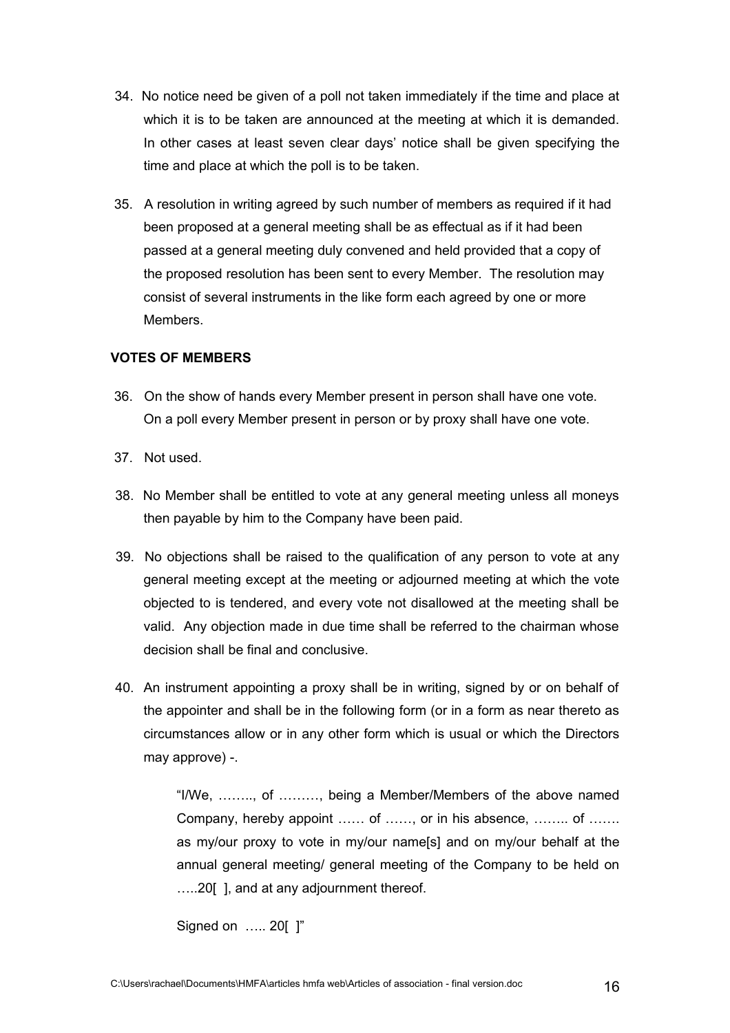- 34. No notice need be given of a poll not taken immediately if the time and place at which it is to be taken are announced at the meeting at which it is demanded. In other cases at least seven clear days' notice shall be given specifying the time and place at which the poll is to be taken.
- 35. A resolution in writing agreed by such number of members as required if it had been proposed at a general meeting shall be as effectual as if it had been passed at a general meeting duly convened and held provided that a copy of the proposed resolution has been sent to every Member. The resolution may consist of several instruments in the like form each agreed by one or more **Members**

### **VOTES OF MEMBERS**

- 36. On the show of hands every Member present in person shall have one vote. On a poll every Member present in person or by proxy shall have one vote.
- 37. Not used.
- 38. No Member shall be entitled to vote at any general meeting unless all moneys then payable by him to the Company have been paid.
- 39. No objections shall be raised to the qualification of any person to vote at any general meeting except at the meeting or adjourned meeting at which the vote objected to is tendered, and every vote not disallowed at the meeting shall be valid. Any objection made in due time shall be referred to the chairman whose decision shall be final and conclusive.
- 40. An instrument appointing a proxy shall be in writing, signed by or on behalf of the appointer and shall be in the following form (or in a form as near thereto as circumstances allow or in any other form which is usual or which the Directors may approve) -.

"I/We, …….., of ………, being a Member/Members of the above named Company, hereby appoint …… of ……, or in his absence, …….. of ……. as my/our proxy to vote in my/our name[s] and on my/our behalf at the annual general meeting/ general meeting of the Company to be held on …..20[ ], and at any adjournment thereof.

Signed on ….. 20[ ]"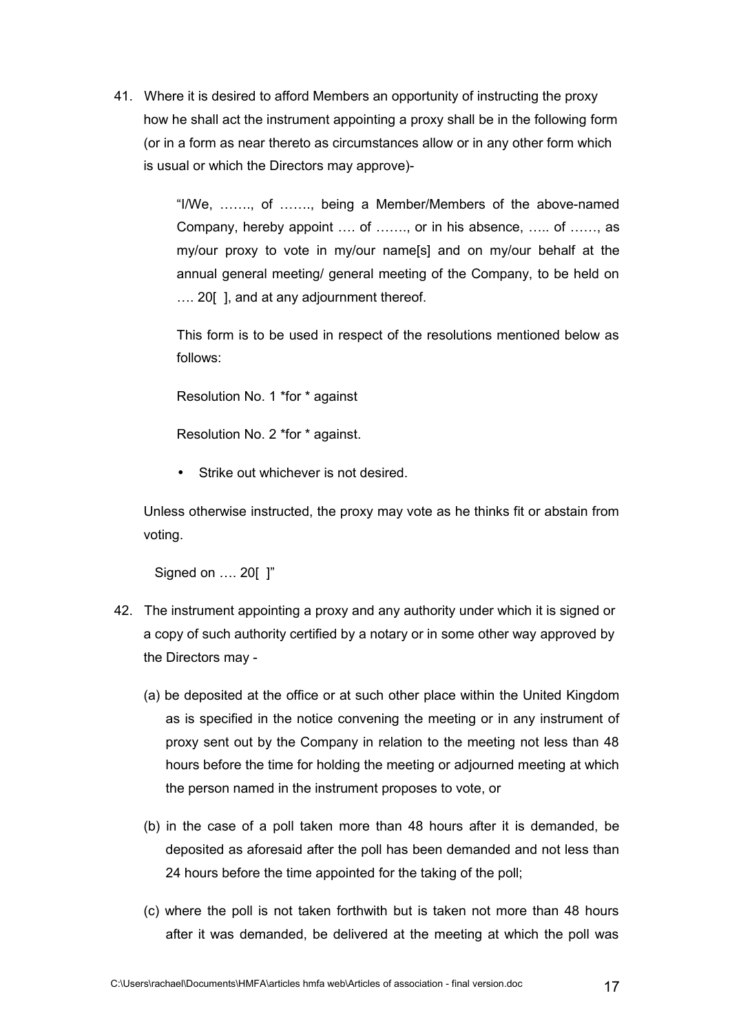41. Where it is desired to afford Members an opportunity of instructing the proxy how he shall act the instrument appointing a proxy shall be in the following form (or in a form as near thereto as circumstances allow or in any other form which is usual or which the Directors may approve)-

> "I/We, ……., of ……., being a Member/Members of the above-named Company, hereby appoint …. of ……., or in his absence, ….. of ……, as my/our proxy to vote in my/our name[s] and on my/our behalf at the annual general meeting/ general meeting of the Company, to be held on …. 20[ ], and at any adjournment thereof.

> This form is to be used in respect of the resolutions mentioned below as follows:

Resolution No. 1 \*for \* against

Resolution No. 2 \*for \* against.

Strike out whichever is not desired.

Unless otherwise instructed, the proxy may vote as he thinks fit or abstain from voting.

Signed on …. 20[ ]"

- 42. The instrument appointing a proxy and any authority under which it is signed or a copy of such authority certified by a notary or in some other way approved by the Directors may -
	- (a) be deposited at the office or at such other place within the United Kingdom as is specified in the notice convening the meeting or in any instrument of proxy sent out by the Company in relation to the meeting not less than 48 hours before the time for holding the meeting or adjourned meeting at which the person named in the instrument proposes to vote, or
	- (b) in the case of a poll taken more than 48 hours after it is demanded, be deposited as aforesaid after the poll has been demanded and not less than 24 hours before the time appointed for the taking of the poll;
	- (c) where the poll is not taken forthwith but is taken not more than 48 hours after it was demanded, be delivered at the meeting at which the poll was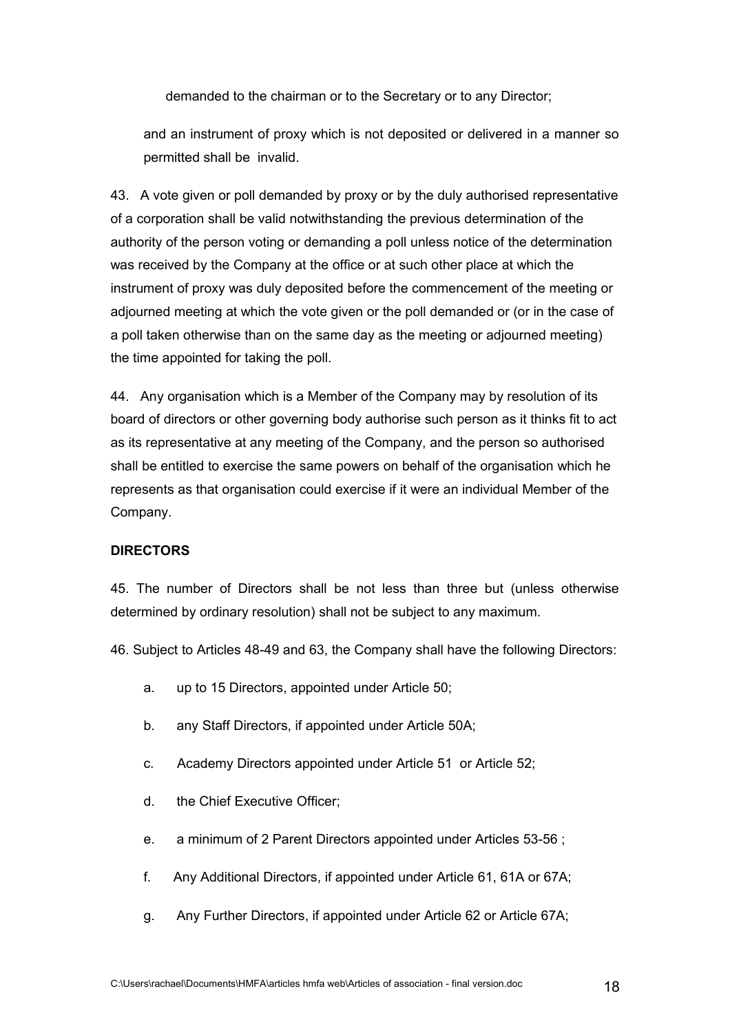demanded to the chairman or to the Secretary or to any Director;

and an instrument of proxy which is not deposited or delivered in a manner so permitted shall be invalid.

43. A vote given or poll demanded by proxy or by the duly authorised representative of a corporation shall be valid notwithstanding the previous determination of the authority of the person voting or demanding a poll unless notice of the determination was received by the Company at the office or at such other place at which the instrument of proxy was duly deposited before the commencement of the meeting or adjourned meeting at which the vote given or the poll demanded or (or in the case of a poll taken otherwise than on the same day as the meeting or adjourned meeting) the time appointed for taking the poll.

44. Any organisation which is a Member of the Company may by resolution of its board of directors or other governing body authorise such person as it thinks fit to act as its representative at any meeting of the Company, and the person so authorised shall be entitled to exercise the same powers on behalf of the organisation which he represents as that organisation could exercise if it were an individual Member of the Company.

#### **DIRECTORS**

45. The number of Directors shall be not less than three but (unless otherwise determined by ordinary resolution) shall not be subject to any maximum.

46. Subject to Articles 48-49 and 63, the Company shall have the following Directors:

- a. up to 15 Directors, appointed under Article 50;
- b. any Staff Directors, if appointed under Article 50A;
- c. Academy Directors appointed under Article 51 or Article 52;
- d. the Chief Executive Officer;
- e. a minimum of 2 Parent Directors appointed under Articles 53-56 ;
- f. Any Additional Directors, if appointed under Article 61, 61A or 67A;
- g. Any Further Directors, if appointed under Article 62 or Article 67A;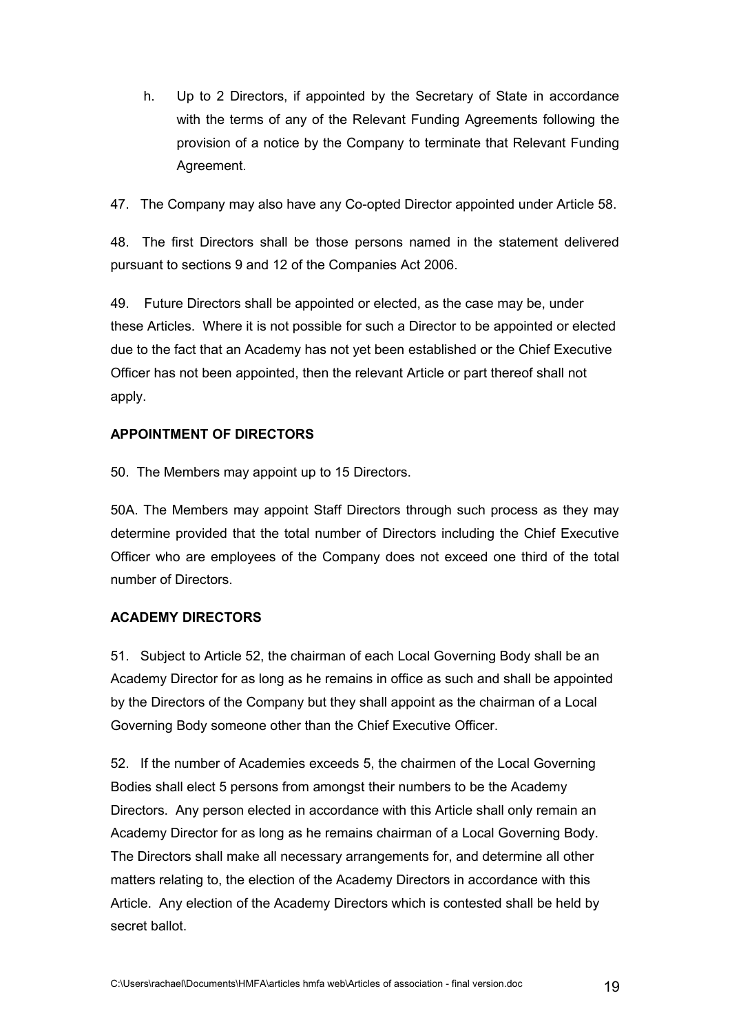h. Up to 2 Directors, if appointed by the Secretary of State in accordance with the terms of any of the Relevant Funding Agreements following the provision of a notice by the Company to terminate that Relevant Funding Agreement.

47. The Company may also have any Co-opted Director appointed under Article 58.

48. The first Directors shall be those persons named in the statement delivered pursuant to sections 9 and 12 of the Companies Act 2006.

49. Future Directors shall be appointed or elected, as the case may be, under these Articles. Where it is not possible for such a Director to be appointed or elected due to the fact that an Academy has not yet been established or the Chief Executive Officer has not been appointed, then the relevant Article or part thereof shall not apply.

# **APPOINTMENT OF DIRECTORS**

50. The Members may appoint up to 15 Directors.

50A. The Members may appoint Staff Directors through such process as they may determine provided that the total number of Directors including the Chief Executive Officer who are employees of the Company does not exceed one third of the total number of Directors.

# **ACADEMY DIRECTORS**

51. Subject to Article 52, the chairman of each Local Governing Body shall be an Academy Director for as long as he remains in office as such and shall be appointed by the Directors of the Company but they shall appoint as the chairman of a Local Governing Body someone other than the Chief Executive Officer.

52. If the number of Academies exceeds 5, the chairmen of the Local Governing Bodies shall elect 5 persons from amongst their numbers to be the Academy Directors. Any person elected in accordance with this Article shall only remain an Academy Director for as long as he remains chairman of a Local Governing Body. The Directors shall make all necessary arrangements for, and determine all other matters relating to, the election of the Academy Directors in accordance with this Article. Any election of the Academy Directors which is contested shall be held by secret ballot.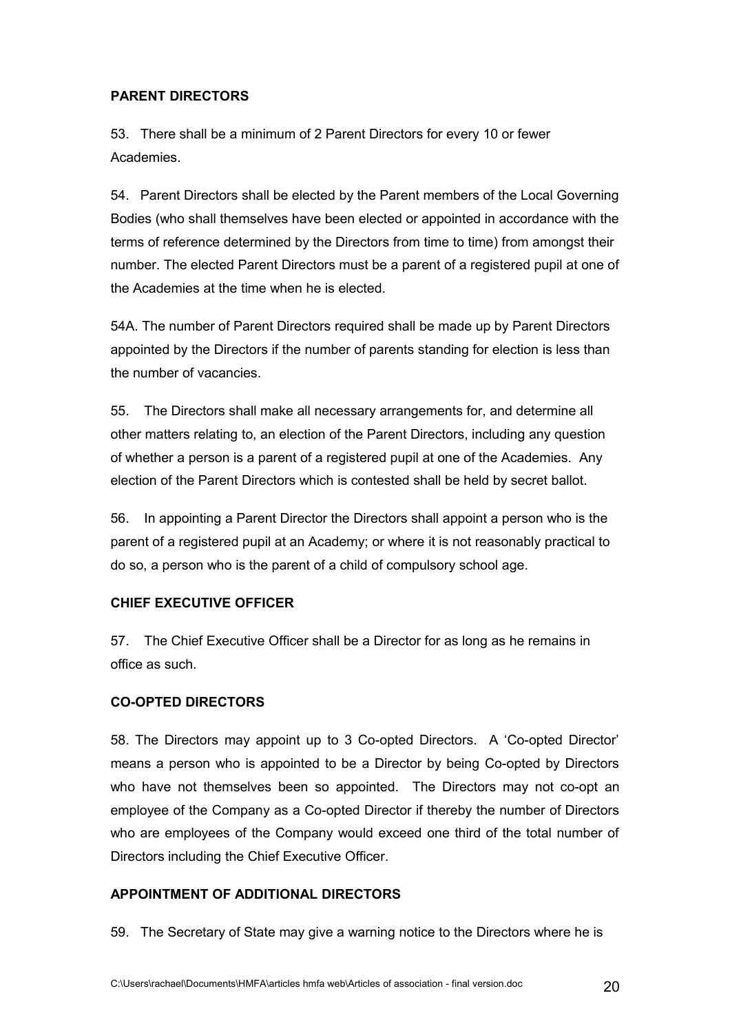## **PARENT DIRECTORS**

53. There shall be a minimum of 2 Parent Directors for every 10 or fewer **Academies** 

54. Parent Directors shall be elected by the Parent members of the Local Governing Bodies (who shall themselves have been elected or appointed in accordance with the terms of reference determined by the Directors from time to time) from amongst their number. The elected Parent Directors must be a parent of a registered pupil at one of the Academies at the time when he is elected.

54A. The number of Parent Directors required shall be made up by Parent Directors appointed by the Directors if the number of parents standing for election is less than the number of vacancies.

55. The Directors shall make all necessary arrangements for, and determine all other matters relating to, an election of the Parent Directors, including any question of whether a person is a parent of a registered pupil at one of the Academies. Any election of the Parent Directors which is contested shall be held by secret ballot.

56. In appointing a Parent Director the Directors shall appoint a person who is the parent of a registered pupil at an Academy; or where it is not reasonably practical to do so, a person who is the parent of a child of compulsory school age.

# **CHIEF EXECUTIVE OFFICER**

57. The Chief Executive Officer shall be a Director for as long as he remains in office as such.

# **CO-OPTED DIRECTORS**

58. The Directors may appoint up to 3 Co-opted Directors. A 'Co-opted Director' means a person who is appointed to be a Director by being Co-opted by Directors who have not themselves been so appointed. The Directors may not co-opt an employee of the Company as a Co-opted Director if thereby the number of Directors who are employees of the Company would exceed one third of the total number of Directors including the Chief Executive Officer.

### **APPOINTMENT OF ADDITIONAL DIRECTORS**

59. The Secretary of State may give a warning notice to the Directors where he is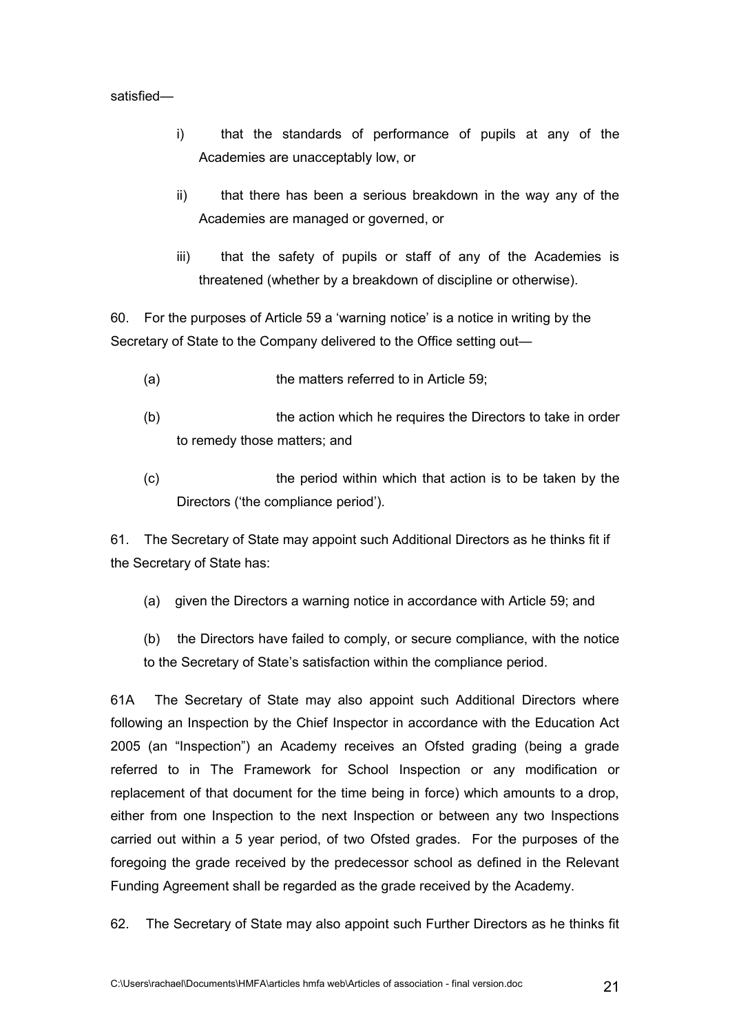#### satisfied—

- i) that the standards of performance of pupils at any of the Academies are unacceptably low, or
- ii) that there has been a serious breakdown in the way any of the Academies are managed or governed, or
- iii) that the safety of pupils or staff of any of the Academies is threatened (whether by a breakdown of discipline or otherwise).

60. For the purposes of Article 59 a 'warning notice' is a notice in writing by the Secretary of State to the Company delivered to the Office setting out—

- (a) the matters referred to in Article 59:
- (b) the action which he requires the Directors to take in order to remedy those matters; and
- (c) the period within which that action is to be taken by the Directors ('the compliance period').

61. The Secretary of State may appoint such Additional Directors as he thinks fit if the Secretary of State has:

- (a) given the Directors a warning notice in accordance with Article 59; and
- (b) the Directors have failed to comply, or secure compliance, with the notice to the Secretary of State's satisfaction within the compliance period.

61A The Secretary of State may also appoint such Additional Directors where following an Inspection by the Chief Inspector in accordance with the Education Act 2005 (an "Inspection") an Academy receives an Ofsted grading (being a grade referred to in The Framework for School Inspection or any modification or replacement of that document for the time being in force) which amounts to a drop, either from one Inspection to the next Inspection or between any two Inspections carried out within a 5 year period, of two Ofsted grades. For the purposes of the foregoing the grade received by the predecessor school as defined in the Relevant Funding Agreement shall be regarded as the grade received by the Academy.

62. The Secretary of State may also appoint such Further Directors as he thinks fit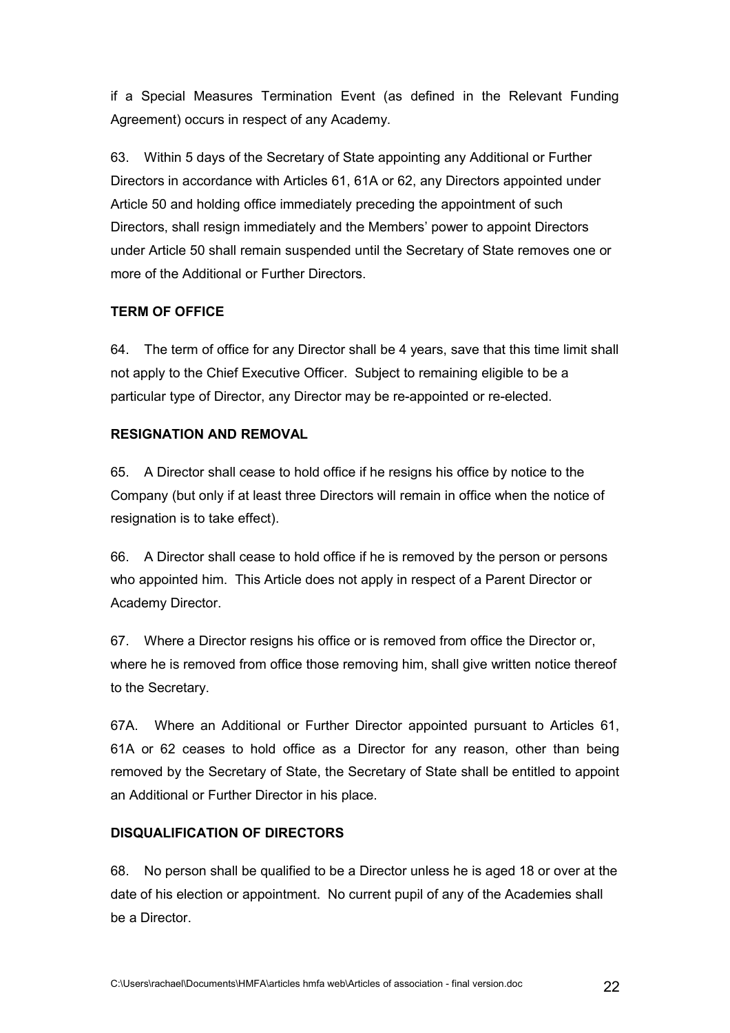if a Special Measures Termination Event (as defined in the Relevant Funding Agreement) occurs in respect of any Academy.

63. Within 5 days of the Secretary of State appointing any Additional or Further Directors in accordance with Articles 61, 61A or 62, any Directors appointed under Article 50 and holding office immediately preceding the appointment of such Directors, shall resign immediately and the Members' power to appoint Directors under Article 50 shall remain suspended until the Secretary of State removes one or more of the Additional or Further Directors.

# **TERM OF OFFICE**

64. The term of office for any Director shall be 4 years, save that this time limit shall not apply to the Chief Executive Officer. Subject to remaining eligible to be a particular type of Director, any Director may be re-appointed or re-elected.

## **RESIGNATION AND REMOVAL**

65. A Director shall cease to hold office if he resigns his office by notice to the Company (but only if at least three Directors will remain in office when the notice of resignation is to take effect).

66. A Director shall cease to hold office if he is removed by the person or persons who appointed him. This Article does not apply in respect of a Parent Director or Academy Director.

67. Where a Director resigns his office or is removed from office the Director or, where he is removed from office those removing him, shall give written notice thereof to the Secretary.

67A. Where an Additional or Further Director appointed pursuant to Articles 61, 61A or 62 ceases to hold office as a Director for any reason, other than being removed by the Secretary of State, the Secretary of State shall be entitled to appoint an Additional or Further Director in his place.

### **DISQUALIFICATION OF DIRECTORS**

68. No person shall be qualified to be a Director unless he is aged 18 or over at the date of his election or appointment. No current pupil of any of the Academies shall be a Director.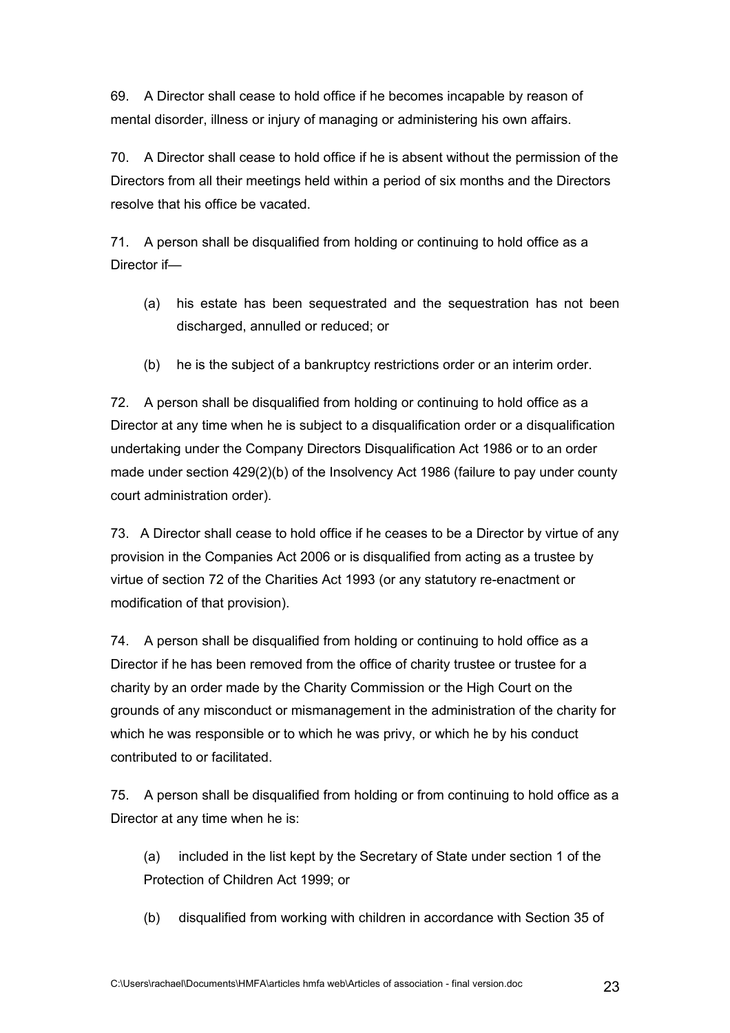69. A Director shall cease to hold office if he becomes incapable by reason of mental disorder, illness or injury of managing or administering his own affairs.

70. A Director shall cease to hold office if he is absent without the permission of the Directors from all their meetings held within a period of six months and the Directors resolve that his office be vacated.

71. A person shall be disqualified from holding or continuing to hold office as a Director if—

- (a) his estate has been sequestrated and the sequestration has not been discharged, annulled or reduced; or
- (b) he is the subject of a bankruptcy restrictions order or an interim order.

72. A person shall be disqualified from holding or continuing to hold office as a Director at any time when he is subject to a disqualification order or a disqualification undertaking under the Company Directors Disqualification Act 1986 or to an order made under section 429(2)(b) of the Insolvency Act 1986 (failure to pay under county court administration order).

73. A Director shall cease to hold office if he ceases to be a Director by virtue of any provision in the Companies Act 2006 or is disqualified from acting as a trustee by virtue of section 72 of the Charities Act 1993 (or any statutory re-enactment or modification of that provision).

74. A person shall be disqualified from holding or continuing to hold office as a Director if he has been removed from the office of charity trustee or trustee for a charity by an order made by the Charity Commission or the High Court on the grounds of any misconduct or mismanagement in the administration of the charity for which he was responsible or to which he was privy, or which he by his conduct contributed to or facilitated.

75. A person shall be disqualified from holding or from continuing to hold office as a Director at any time when he is:

(a) included in the list kept by the Secretary of State under section 1 of the Protection of Children Act 1999; or

(b) disqualified from working with children in accordance with Section 35 of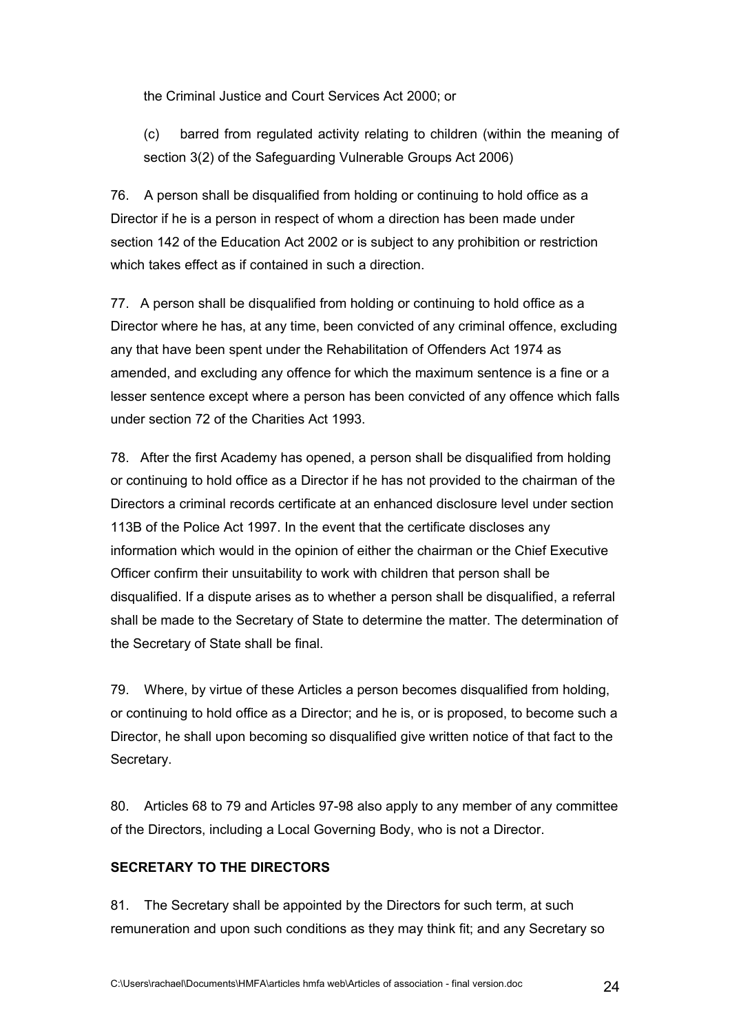the Criminal Justice and Court Services Act 2000; or

(c) barred from regulated activity relating to children (within the meaning of section 3(2) of the Safeguarding Vulnerable Groups Act 2006)

76. A person shall be disqualified from holding or continuing to hold office as a Director if he is a person in respect of whom a direction has been made under section 142 of the Education Act 2002 or is subject to any prohibition or restriction which takes effect as if contained in such a direction.

77. A person shall be disqualified from holding or continuing to hold office as a Director where he has, at any time, been convicted of any criminal offence, excluding any that have been spent under the Rehabilitation of Offenders Act 1974 as amended, and excluding any offence for which the maximum sentence is a fine or a lesser sentence except where a person has been convicted of any offence which falls under section 72 of the Charities Act 1993.

78. After the first Academy has opened, a person shall be disqualified from holding or continuing to hold office as a Director if he has not provided to the chairman of the Directors a criminal records certificate at an enhanced disclosure level under section 113B of the Police Act 1997. In the event that the certificate discloses any information which would in the opinion of either the chairman or the Chief Executive Officer confirm their unsuitability to work with children that person shall be disqualified. If a dispute arises as to whether a person shall be disqualified, a referral shall be made to the Secretary of State to determine the matter. The determination of the Secretary of State shall be final.

79. Where, by virtue of these Articles a person becomes disqualified from holding, or continuing to hold office as a Director; and he is, or is proposed, to become such a Director, he shall upon becoming so disqualified give written notice of that fact to the Secretary.

80. Articles 68 to 79 and Articles 97-98 also apply to any member of any committee of the Directors, including a Local Governing Body, who is not a Director.

## **SECRETARY TO THE DIRECTORS**

81. The Secretary shall be appointed by the Directors for such term, at such remuneration and upon such conditions as they may think fit; and any Secretary so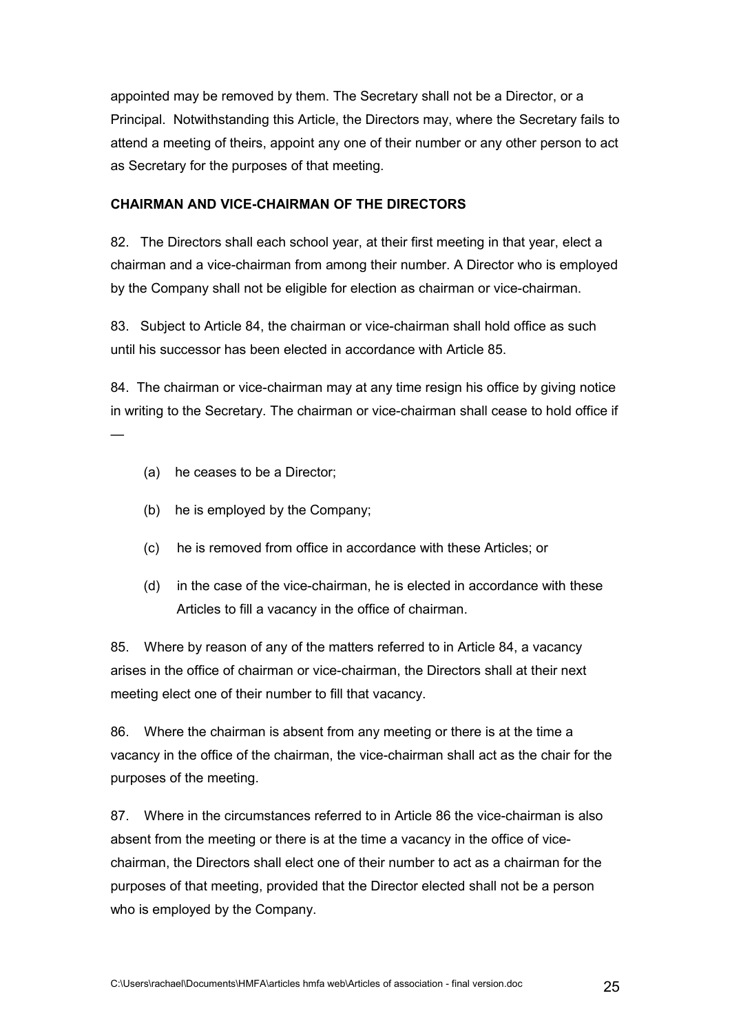appointed may be removed by them. The Secretary shall not be a Director, or a Principal. Notwithstanding this Article, the Directors may, where the Secretary fails to attend a meeting of theirs, appoint any one of their number or any other person to act as Secretary for the purposes of that meeting.

## **CHAIRMAN AND VICE-CHAIRMAN OF THE DIRECTORS**

82. The Directors shall each school year, at their first meeting in that year, elect a chairman and a vice-chairman from among their number. A Director who is employed by the Company shall not be eligible for election as chairman or vice-chairman.

83. Subject to Article 84, the chairman or vice-chairman shall hold office as such until his successor has been elected in accordance with Article 85.

84. The chairman or vice-chairman may at any time resign his office by giving notice in writing to the Secretary. The chairman or vice-chairman shall cease to hold office if

(a) he ceases to be a Director;

—

- (b) he is employed by the Company;
- (c) he is removed from office in accordance with these Articles; or
- (d) in the case of the vice-chairman, he is elected in accordance with these Articles to fill a vacancy in the office of chairman.

85. Where by reason of any of the matters referred to in Article 84, a vacancy arises in the office of chairman or vice-chairman, the Directors shall at their next meeting elect one of their number to fill that vacancy.

86. Where the chairman is absent from any meeting or there is at the time a vacancy in the office of the chairman, the vice-chairman shall act as the chair for the purposes of the meeting.

87. Where in the circumstances referred to in Article 86 the vice-chairman is also absent from the meeting or there is at the time a vacancy in the office of vicechairman, the Directors shall elect one of their number to act as a chairman for the purposes of that meeting, provided that the Director elected shall not be a person who is employed by the Company.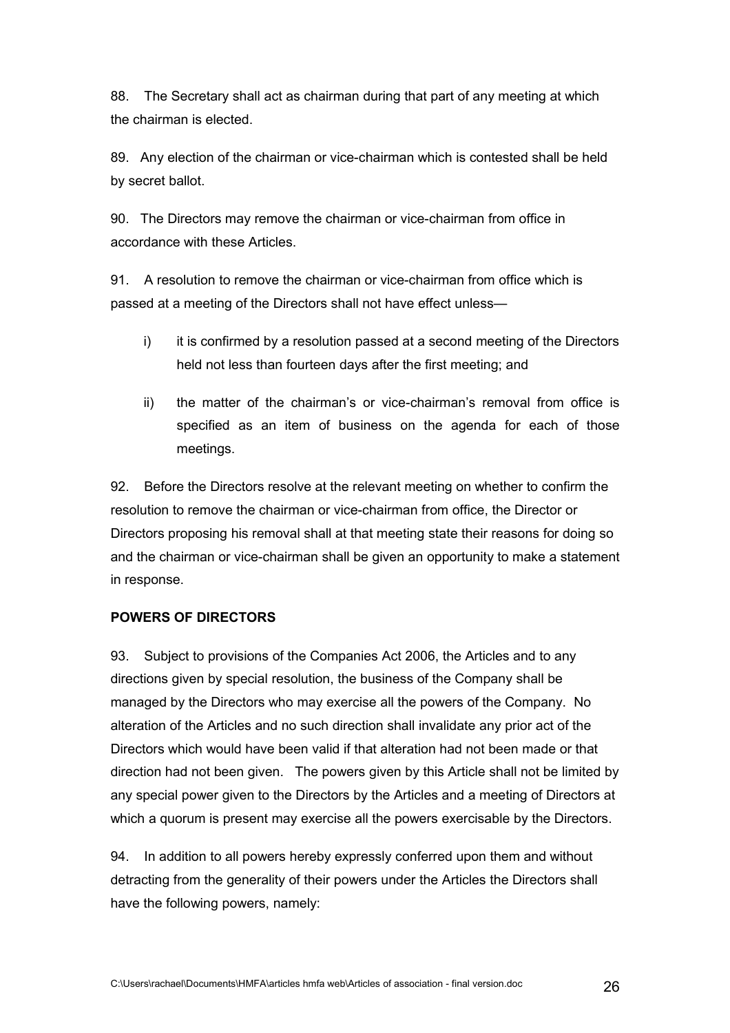88. The Secretary shall act as chairman during that part of any meeting at which the chairman is elected.

89. Any election of the chairman or vice-chairman which is contested shall be held by secret ballot.

90. The Directors may remove the chairman or vice-chairman from office in accordance with these Articles.

91. A resolution to remove the chairman or vice-chairman from office which is passed at a meeting of the Directors shall not have effect unless—

- i) it is confirmed by a resolution passed at a second meeting of the Directors held not less than fourteen days after the first meeting; and
- ii) the matter of the chairman's or vice-chairman's removal from office is specified as an item of business on the agenda for each of those meetings.

92. Before the Directors resolve at the relevant meeting on whether to confirm the resolution to remove the chairman or vice-chairman from office, the Director or Directors proposing his removal shall at that meeting state their reasons for doing so and the chairman or vice-chairman shall be given an opportunity to make a statement in response.

# **POWERS OF DIRECTORS**

93. Subject to provisions of the Companies Act 2006, the Articles and to any directions given by special resolution, the business of the Company shall be managed by the Directors who may exercise all the powers of the Company. No alteration of the Articles and no such direction shall invalidate any prior act of the Directors which would have been valid if that alteration had not been made or that direction had not been given. The powers given by this Article shall not be limited by any special power given to the Directors by the Articles and a meeting of Directors at which a quorum is present may exercise all the powers exercisable by the Directors.

94. In addition to all powers hereby expressly conferred upon them and without detracting from the generality of their powers under the Articles the Directors shall have the following powers, namely: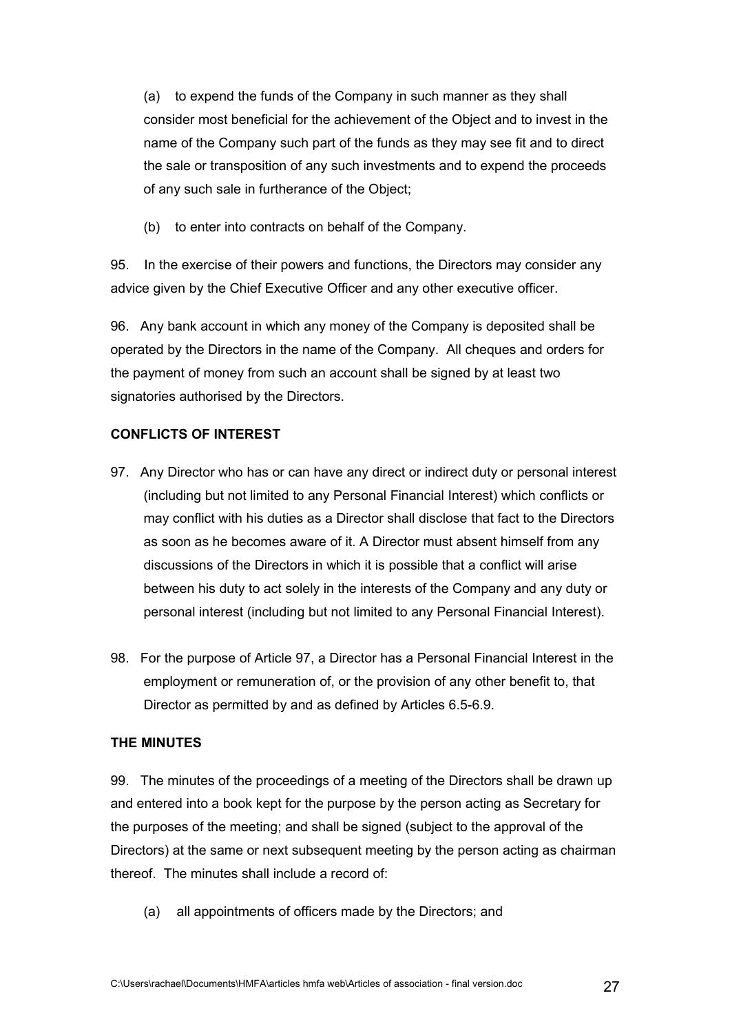(a) to expend the funds of the Company in such manner as they shall consider most beneficial for the achievement of the Object and to invest in the name of the Company such part of the funds as they may see fit and to direct the sale or transposition of any such investments and to expend the proceeds of any such sale in furtherance of the Object;

(b) to enter into contracts on behalf of the Company.

95. In the exercise of their powers and functions, the Directors may consider any advice given by the Chief Executive Officer and any other executive officer.

96. Any bank account in which any money of the Company is deposited shall be operated by the Directors in the name of the Company. All cheques and orders for the payment of money from such an account shall be signed by at least two signatories authorised by the Directors.

# **CONFLICTS OF INTEREST**

- 97. Any Director who has or can have any direct or indirect duty or personal interest (including but not limited to any Personal Financial Interest) which conflicts or may conflict with his duties as a Director shall disclose that fact to the Directors as soon as he becomes aware of it. A Director must absent himself from any discussions of the Directors in which it is possible that a conflict will arise between his duty to act solely in the interests of the Company and any duty or personal interest (including but not limited to any Personal Financial Interest).
- 98. For the purpose of Article 97, a Director has a Personal Financial Interest in the employment or remuneration of, or the provision of any other benefit to, that Director as permitted by and as defined by Articles 6.5-6.9.

### **THE MINUTES**

99. The minutes of the proceedings of a meeting of the Directors shall be drawn up and entered into a book kept for the purpose by the person acting as Secretary for the purposes of the meeting; and shall be signed (subject to the approval of the Directors) at the same or next subsequent meeting by the person acting as chairman thereof. The minutes shall include a record of:

(a) all appointments of officers made by the Directors; and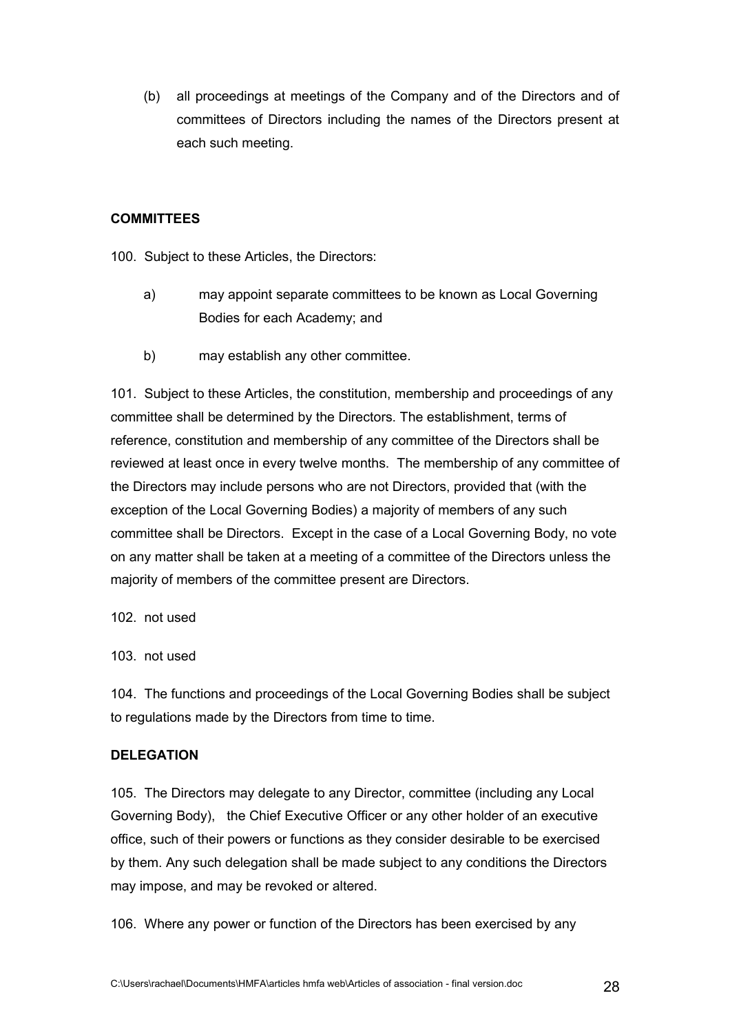(b) all proceedings at meetings of the Company and of the Directors and of committees of Directors including the names of the Directors present at each such meeting.

## **COMMITTEES**

100. Subject to these Articles, the Directors:

- a) may appoint separate committees to be known as Local Governing Bodies for each Academy; and
- b) may establish any other committee.

101. Subject to these Articles, the constitution, membership and proceedings of any committee shall be determined by the Directors. The establishment, terms of reference, constitution and membership of any committee of the Directors shall be reviewed at least once in every twelve months. The membership of any committee of the Directors may include persons who are not Directors, provided that (with the exception of the Local Governing Bodies) a majority of members of any such committee shall be Directors. Except in the case of a Local Governing Body, no vote on any matter shall be taken at a meeting of a committee of the Directors unless the majority of members of the committee present are Directors.

102. not used

103. not used

104. The functions and proceedings of the Local Governing Bodies shall be subject to regulations made by the Directors from time to time.

### **DELEGATION**

105. The Directors may delegate to any Director, committee (including any Local Governing Body), the Chief Executive Officer or any other holder of an executive office, such of their powers or functions as they consider desirable to be exercised by them. Any such delegation shall be made subject to any conditions the Directors may impose, and may be revoked or altered.

106. Where any power or function of the Directors has been exercised by any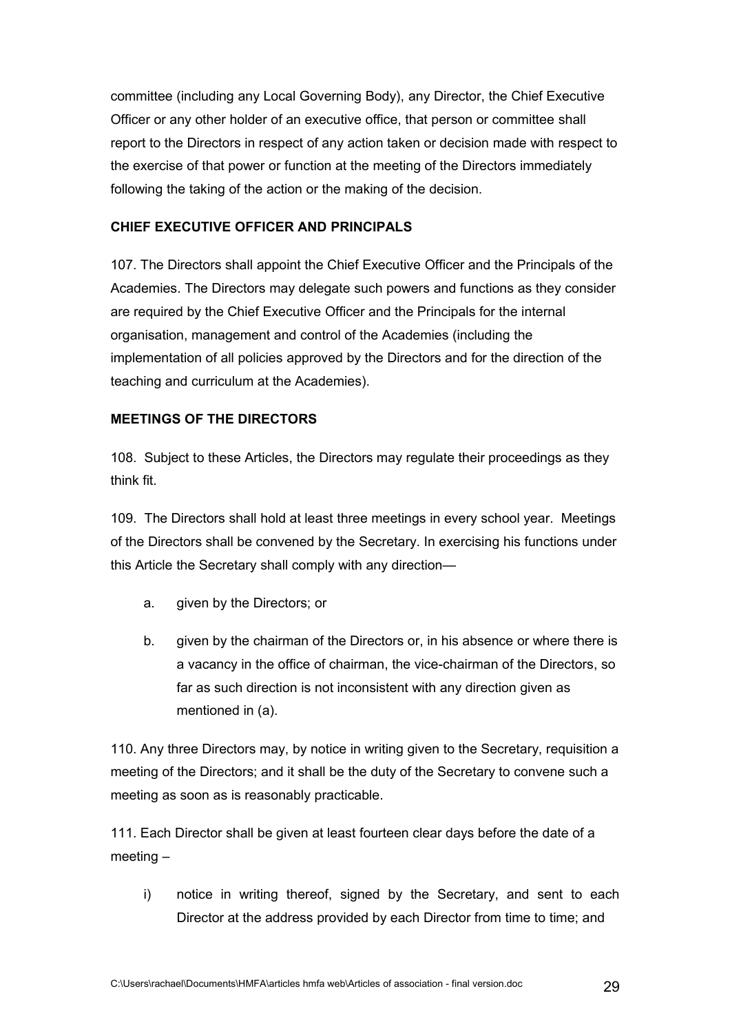committee (including any Local Governing Body), any Director, the Chief Executive Officer or any other holder of an executive office, that person or committee shall report to the Directors in respect of any action taken or decision made with respect to the exercise of that power or function at the meeting of the Directors immediately following the taking of the action or the making of the decision.

### **CHIEF EXECUTIVE OFFICER AND PRINCIPALS**

107. The Directors shall appoint the Chief Executive Officer and the Principals of the Academies. The Directors may delegate such powers and functions as they consider are required by the Chief Executive Officer and the Principals for the internal organisation, management and control of the Academies (including the implementation of all policies approved by the Directors and for the direction of the teaching and curriculum at the Academies).

### **MEETINGS OF THE DIRECTORS**

108. Subject to these Articles, the Directors may regulate their proceedings as they think fit.

109. The Directors shall hold at least three meetings in every school year. Meetings of the Directors shall be convened by the Secretary. In exercising his functions under this Article the Secretary shall comply with any direction—

- a. given by the Directors; or
- b. given by the chairman of the Directors or, in his absence or where there is a vacancy in the office of chairman, the vice-chairman of the Directors, so far as such direction is not inconsistent with any direction given as mentioned in (a).

110. Any three Directors may, by notice in writing given to the Secretary, requisition a meeting of the Directors; and it shall be the duty of the Secretary to convene such a meeting as soon as is reasonably practicable.

111. Each Director shall be given at least fourteen clear days before the date of a meeting –

i) notice in writing thereof, signed by the Secretary, and sent to each Director at the address provided by each Director from time to time; and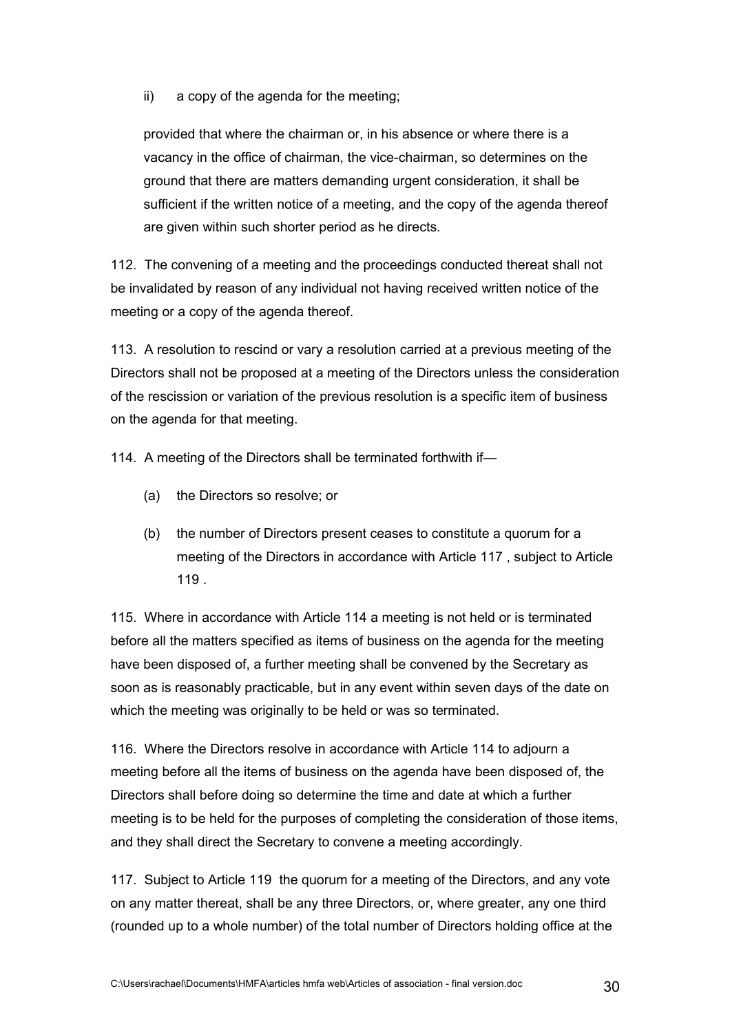ii) a copy of the agenda for the meeting;

provided that where the chairman or, in his absence or where there is a vacancy in the office of chairman, the vice-chairman, so determines on the ground that there are matters demanding urgent consideration, it shall be sufficient if the written notice of a meeting, and the copy of the agenda thereof are given within such shorter period as he directs.

112. The convening of a meeting and the proceedings conducted thereat shall not be invalidated by reason of any individual not having received written notice of the meeting or a copy of the agenda thereof.

113. A resolution to rescind or vary a resolution carried at a previous meeting of the Directors shall not be proposed at a meeting of the Directors unless the consideration of the rescission or variation of the previous resolution is a specific item of business on the agenda for that meeting.

114. A meeting of the Directors shall be terminated forthwith if—

- (a) the Directors so resolve; or
- (b) the number of Directors present ceases to constitute a quorum for a meeting of the Directors in accordance with Article 117 , subject to Article 119 .

115. Where in accordance with Article 114 a meeting is not held or is terminated before all the matters specified as items of business on the agenda for the meeting have been disposed of, a further meeting shall be convened by the Secretary as soon as is reasonably practicable, but in any event within seven days of the date on which the meeting was originally to be held or was so terminated.

116. Where the Directors resolve in accordance with Article 114 to adjourn a meeting before all the items of business on the agenda have been disposed of, the Directors shall before doing so determine the time and date at which a further meeting is to be held for the purposes of completing the consideration of those items, and they shall direct the Secretary to convene a meeting accordingly.

117. Subject to Article 119 the quorum for a meeting of the Directors, and any vote on any matter thereat, shall be any three Directors, or, where greater, any one third (rounded up to a whole number) of the total number of Directors holding office at the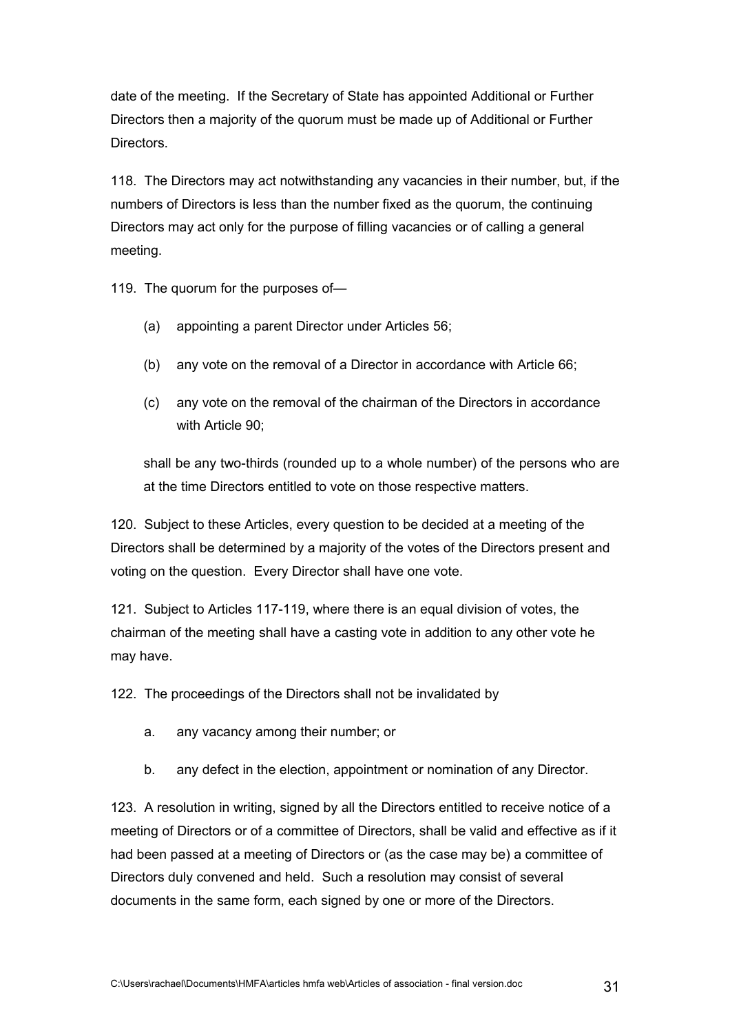date of the meeting. If the Secretary of State has appointed Additional or Further Directors then a majority of the quorum must be made up of Additional or Further Directors.

118. The Directors may act notwithstanding any vacancies in their number, but, if the numbers of Directors is less than the number fixed as the quorum, the continuing Directors may act only for the purpose of filling vacancies or of calling a general meeting.

119. The quorum for the purposes of—

- (a) appointing a parent Director under Articles 56;
- (b) any vote on the removal of a Director in accordance with Article 66;
- (c) any vote on the removal of the chairman of the Directors in accordance with Article 90:

shall be any two-thirds (rounded up to a whole number) of the persons who are at the time Directors entitled to vote on those respective matters.

120. Subject to these Articles, every question to be decided at a meeting of the Directors shall be determined by a majority of the votes of the Directors present and voting on the question. Every Director shall have one vote.

121. Subject to Articles 117-119, where there is an equal division of votes, the chairman of the meeting shall have a casting vote in addition to any other vote he may have.

122. The proceedings of the Directors shall not be invalidated by

- a. any vacancy among their number; or
- b. any defect in the election, appointment or nomination of any Director.

123. A resolution in writing, signed by all the Directors entitled to receive notice of a meeting of Directors or of a committee of Directors, shall be valid and effective as if it had been passed at a meeting of Directors or (as the case may be) a committee of Directors duly convened and held. Such a resolution may consist of several documents in the same form, each signed by one or more of the Directors.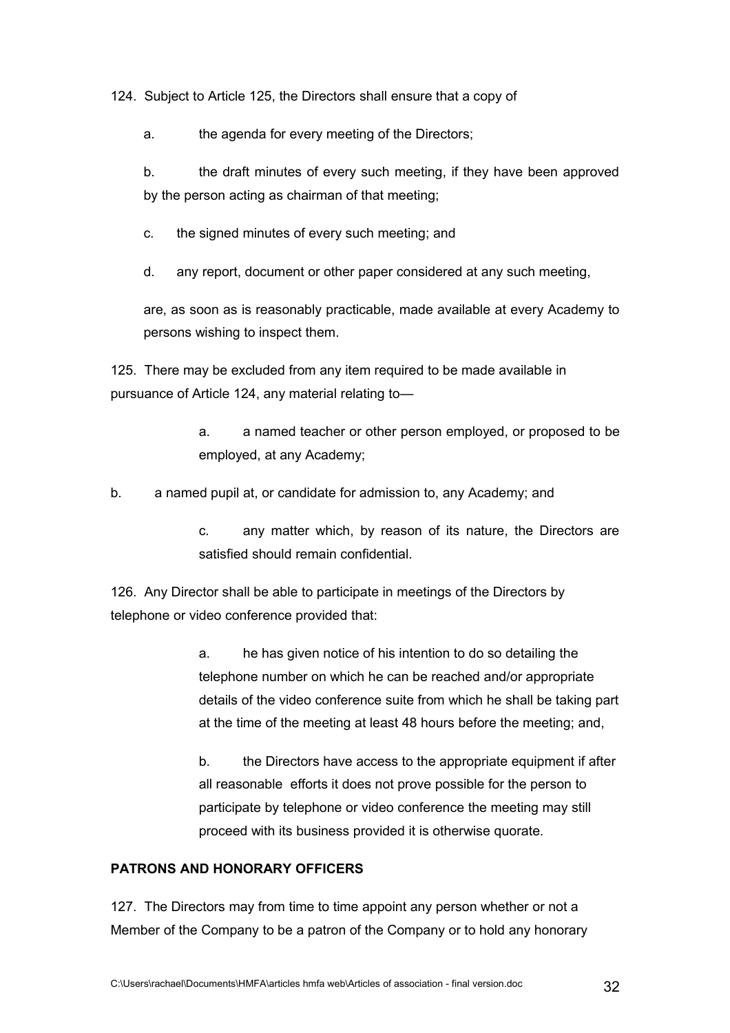124. Subject to Article 125, the Directors shall ensure that a copy of

a. the agenda for every meeting of the Directors;

b. the draft minutes of every such meeting, if they have been approved by the person acting as chairman of that meeting;

c. the signed minutes of every such meeting; and

d. any report, document or other paper considered at any such meeting,

are, as soon as is reasonably practicable, made available at every Academy to persons wishing to inspect them.

125. There may be excluded from any item required to be made available in pursuance of Article 124, any material relating to—

> a. a named teacher or other person employed, or proposed to be employed, at any Academy;

b. a named pupil at, or candidate for admission to, any Academy; and

c. any matter which, by reason of its nature, the Directors are satisfied should remain confidential.

126. Any Director shall be able to participate in meetings of the Directors by telephone or video conference provided that:

> a. he has given notice of his intention to do so detailing the telephone number on which he can be reached and/or appropriate details of the video conference suite from which he shall be taking part at the time of the meeting at least 48 hours before the meeting; and,

> b. the Directors have access to the appropriate equipment if after all reasonable efforts it does not prove possible for the person to participate by telephone or video conference the meeting may still proceed with its business provided it is otherwise quorate.

### **PATRONS AND HONORARY OFFICERS**

127. The Directors may from time to time appoint any person whether or not a Member of the Company to be a patron of the Company or to hold any honorary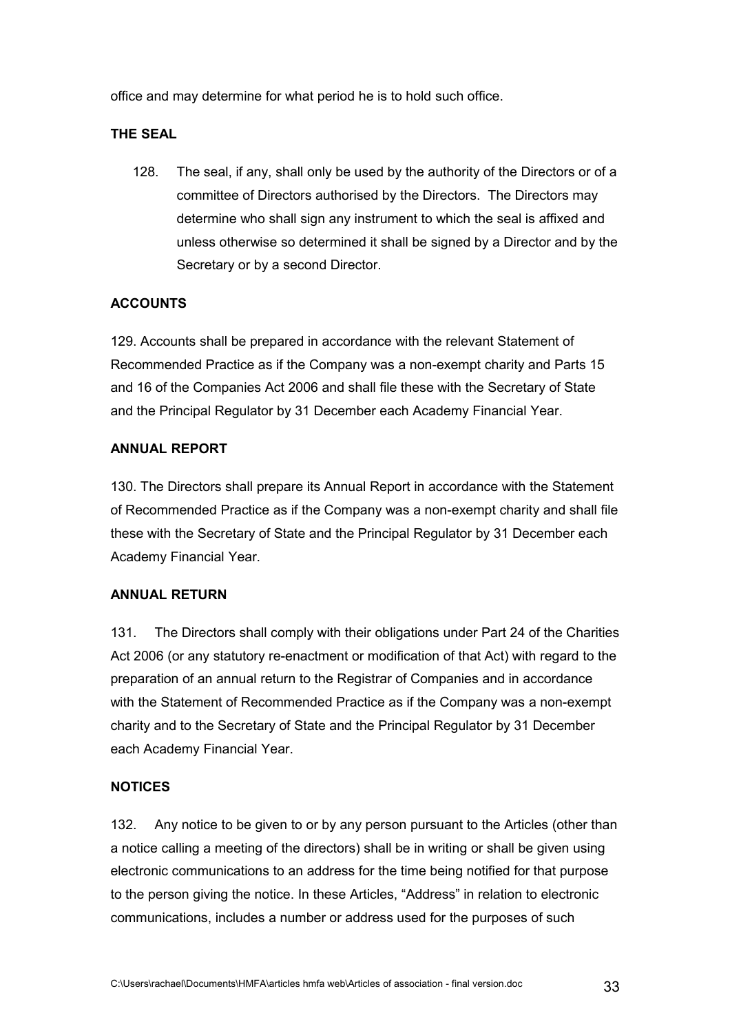office and may determine for what period he is to hold such office.

## **THE SEAL**

128. The seal, if any, shall only be used by the authority of the Directors or of a committee of Directors authorised by the Directors. The Directors may determine who shall sign any instrument to which the seal is affixed and unless otherwise so determined it shall be signed by a Director and by the Secretary or by a second Director.

## **ACCOUNTS**

129. Accounts shall be prepared in accordance with the relevant Statement of Recommended Practice as if the Company was a non-exempt charity and Parts 15 and 16 of the Companies Act 2006 and shall file these with the Secretary of State and the Principal Regulator by 31 December each Academy Financial Year.

## **ANNUAL REPORT**

130. The Directors shall prepare its Annual Report in accordance with the Statement of Recommended Practice as if the Company was a non-exempt charity and shall file these with the Secretary of State and the Principal Regulator by 31 December each Academy Financial Year.

### **ANNUAL RETURN**

131. The Directors shall comply with their obligations under Part 24 of the Charities Act 2006 (or any statutory re-enactment or modification of that Act) with regard to the preparation of an annual return to the Registrar of Companies and in accordance with the Statement of Recommended Practice as if the Company was a non-exempt charity and to the Secretary of State and the Principal Regulator by 31 December each Academy Financial Year.

### **NOTICES**

132. Any notice to be given to or by any person pursuant to the Articles (other than a notice calling a meeting of the directors) shall be in writing or shall be given using electronic communications to an address for the time being notified for that purpose to the person giving the notice. In these Articles, "Address" in relation to electronic communications, includes a number or address used for the purposes of such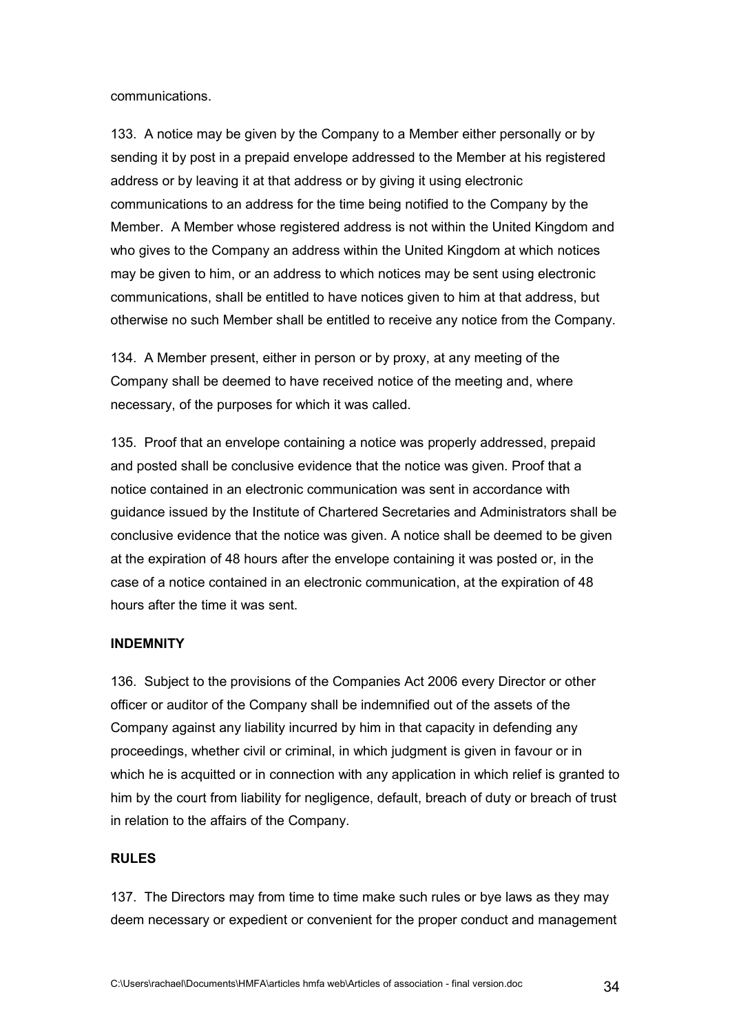communications.

133. A notice may be given by the Company to a Member either personally or by sending it by post in a prepaid envelope addressed to the Member at his registered address or by leaving it at that address or by giving it using electronic communications to an address for the time being notified to the Company by the Member. A Member whose registered address is not within the United Kingdom and who gives to the Company an address within the United Kingdom at which notices may be given to him, or an address to which notices may be sent using electronic communications, shall be entitled to have notices given to him at that address, but otherwise no such Member shall be entitled to receive any notice from the Company.

134. A Member present, either in person or by proxy, at any meeting of the Company shall be deemed to have received notice of the meeting and, where necessary, of the purposes for which it was called.

135. Proof that an envelope containing a notice was properly addressed, prepaid and posted shall be conclusive evidence that the notice was given. Proof that a notice contained in an electronic communication was sent in accordance with guidance issued by the Institute of Chartered Secretaries and Administrators shall be conclusive evidence that the notice was given. A notice shall be deemed to be given at the expiration of 48 hours after the envelope containing it was posted or, in the case of a notice contained in an electronic communication, at the expiration of 48 hours after the time it was sent.

#### **INDEMNITY**

136. Subject to the provisions of the Companies Act 2006 every Director or other officer or auditor of the Company shall be indemnified out of the assets of the Company against any liability incurred by him in that capacity in defending any proceedings, whether civil or criminal, in which judgment is given in favour or in which he is acquitted or in connection with any application in which relief is granted to him by the court from liability for negligence, default, breach of duty or breach of trust in relation to the affairs of the Company.

#### **RULES**

137. The Directors may from time to time make such rules or bye laws as they may deem necessary or expedient or convenient for the proper conduct and management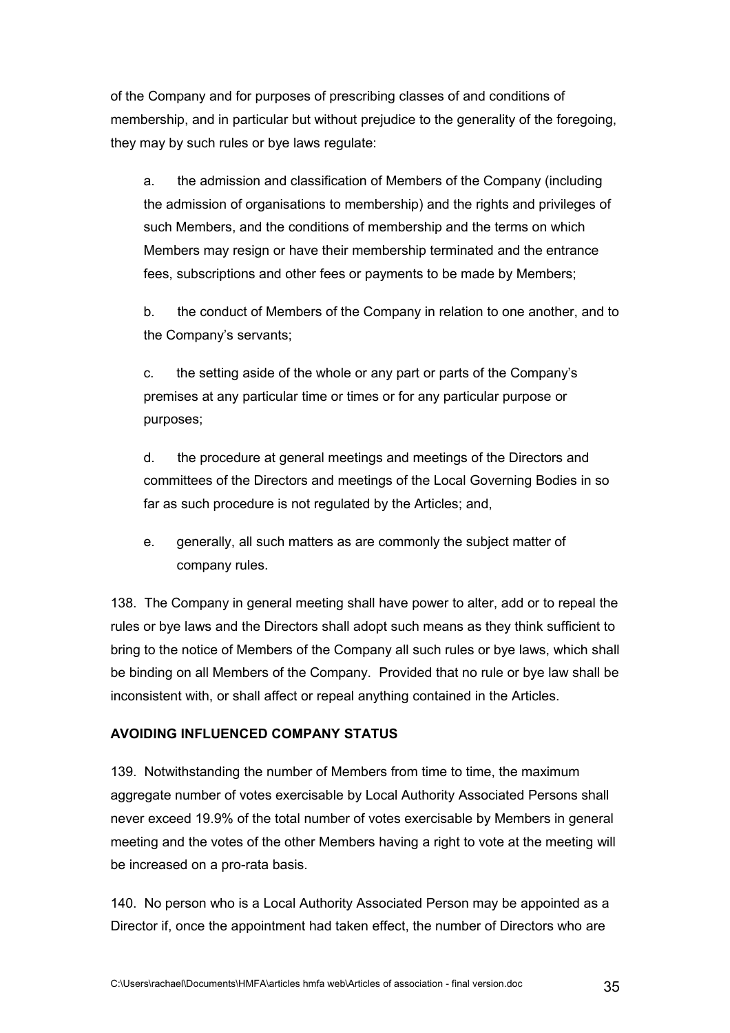of the Company and for purposes of prescribing classes of and conditions of membership, and in particular but without prejudice to the generality of the foregoing, they may by such rules or bye laws regulate:

a. the admission and classification of Members of the Company (including the admission of organisations to membership) and the rights and privileges of such Members, and the conditions of membership and the terms on which Members may resign or have their membership terminated and the entrance fees, subscriptions and other fees or payments to be made by Members;

b. the conduct of Members of the Company in relation to one another, and to the Company's servants;

c. the setting aside of the whole or any part or parts of the Company's premises at any particular time or times or for any particular purpose or purposes;

d. the procedure at general meetings and meetings of the Directors and committees of the Directors and meetings of the Local Governing Bodies in so far as such procedure is not regulated by the Articles; and,

e. generally, all such matters as are commonly the subject matter of company rules.

138. The Company in general meeting shall have power to alter, add or to repeal the rules or bye laws and the Directors shall adopt such means as they think sufficient to bring to the notice of Members of the Company all such rules or bye laws, which shall be binding on all Members of the Company. Provided that no rule or bye law shall be inconsistent with, or shall affect or repeal anything contained in the Articles.

# **AVOIDING INFLUENCED COMPANY STATUS**

139. Notwithstanding the number of Members from time to time, the maximum aggregate number of votes exercisable by Local Authority Associated Persons shall never exceed 19.9% of the total number of votes exercisable by Members in general meeting and the votes of the other Members having a right to vote at the meeting will be increased on a pro-rata basis.

140. No person who is a Local Authority Associated Person may be appointed as a Director if, once the appointment had taken effect, the number of Directors who are